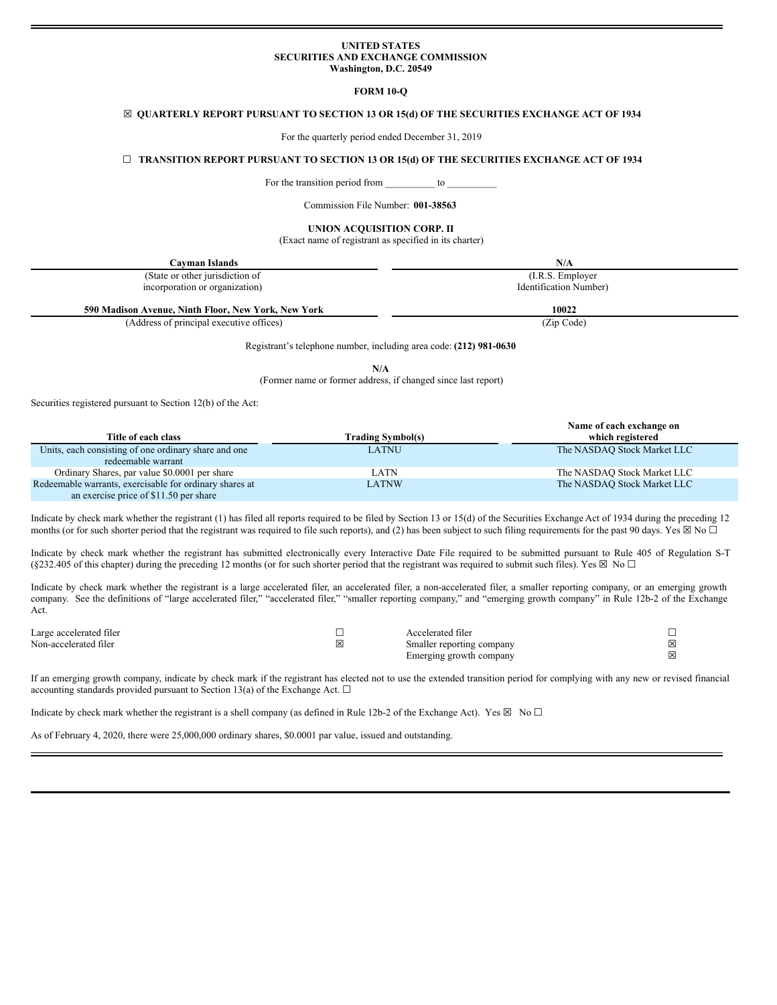#### **UNITED STATES SECURITIES AND EXCHANGE COMMISSION Washington, D.C. 20549**

### **FORM 10-Q**

#### ☒ **QUARTERLY REPORT PURSUANT TO SECTION 13 OR 15(d) OF THE SECURITIES EXCHANGE ACT OF 1934**

For the quarterly period ended December 31, 2019

#### ☐ **TRANSITION REPORT PURSUANT TO SECTION 13 OR 15(d) OF THE SECURITIES EXCHANGE ACT OF 1934**

For the transition period from \_\_\_\_\_\_\_\_\_\_\_ to \_

Commission File Number: **001-38563**

# **UNION ACQUISITION CORP. II**

(Exact name of registrant as specified in its charter)

| Cayman Islands                                                     | N/A                    |
|--------------------------------------------------------------------|------------------------|
| (State or other jurisdiction of                                    | (I.R.S. Employer)      |
| incorporation or organization)                                     | Identification Number) |
| 590 Madison Avenue, Ninth Floor, New York, New York                | 10022                  |
| (Address of principal executive offices)                           | (Zip Code)             |
| Registrant's telephone number, including area code: (212) 981-0630 |                        |

**N/A**

(Former name or former address, if changed since last report)

Securities registered pursuant to Section 12(b) of the Act:

|                                                                                                   |                          | Name of each exchange on    |
|---------------------------------------------------------------------------------------------------|--------------------------|-----------------------------|
| Title of each class                                                                               | <b>Trading Symbol(s)</b> | which registered            |
| Units, each consisting of one ordinary share and one<br>redeemable warrant                        | <b>LATNU</b>             | The NASDAO Stock Market LLC |
| Ordinary Shares, par value \$0.0001 per share                                                     | LATN                     | The NASDAO Stock Market LLC |
| Redeemable warrants, exercisable for ordinary shares at<br>an exercise price of \$11.50 per share | LATNW                    | The NASDAO Stock Market LLC |

Indicate by check mark whether the registrant (1) has filed all reports required to be filed by Section 13 or 15(d) of the Securities Exchange Act of 1934 during the preceding 12 months (or for such shorter period that the registrant was required to file such reports), and (2) has been subject to such filing requirements for the past 90 days. Yes  $\boxtimes$  No  $\Box$ 

Indicate by check mark whether the registrant has submitted electronically every Interactive Date File required to be submitted pursuant to Rule 405 of Regulation S-T (§232.405 of this chapter) during the preceding 12 months (or for such shorter period that the registrant was required to submit such files). Yes  $\boxtimes$  No  $\Box$ 

Indicate by check mark whether the registrant is a large accelerated filer, an accelerated filer, a non-accelerated filer, a smaller reporting company, or an emerging growth company. See the definitions of "large accelerated filer," "accelerated filer," "smaller reporting company," and "emerging growth company" in Rule 12b-2 of the Exchange Act.

| Large accelerated filer | Accelerated filer         |   |
|-------------------------|---------------------------|---|
| Non-accelerated filer   | Smaller reporting company | 冈 |
|                         | Emerging growth company   | 冈 |

If an emerging growth company, indicate by check mark if the registrant has elected not to use the extended transition period for complying with any new or revised financial accounting standards provided pursuant to Section 13(a) of the Exchange Act.  $\square$ 

Indicate by check mark whether the registrant is a shell company (as defined in Rule 12b-2 of the Exchange Act). Yes  $\boxtimes$  No  $\Box$ 

As of February 4, 2020, there were 25,000,000 ordinary shares, \$0.0001 par value, issued and outstanding.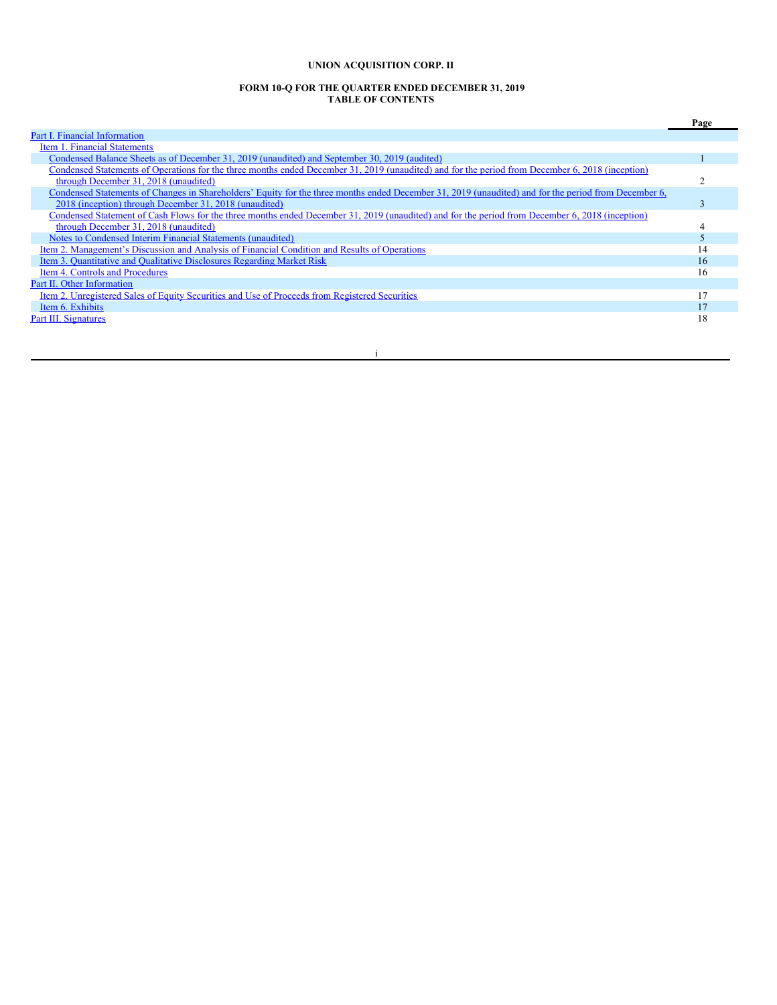# **UNION ACQUISITION CORP. II**

#### **FORM 10-Q FOR THE QUARTER ENDED DECEMBER 31, 2019 TABLE OF CONTENTS**

|                                                                                                                                                      | Page |
|------------------------------------------------------------------------------------------------------------------------------------------------------|------|
| Part I. Financial Information                                                                                                                        |      |
| Item 1. Financial Statements                                                                                                                         |      |
| Condensed Balance Sheets as of December 31, 2019 (unaudited) and September 30, 2019 (audited)                                                        |      |
| Condensed Statements of Operations for the three months ended December 31, 2019 (unaudited) and for the period from December 6, 2018 (inception)     |      |
| through December 31, 2018 (unaudited)                                                                                                                |      |
| Condensed Statements of Changes in Shareholders' Equity for the three months ended December 31, 2019 (unaudited) and for the period from December 6, |      |
| 2018 (inception) through December 31, 2018 (unaudited)                                                                                               |      |
| Condensed Statement of Cash Flows for the three months ended December 31, 2019 (unaudited) and for the period from December 6, 2018 (inception)      |      |
| through December 31, 2018 (unaudited)                                                                                                                |      |
| Notes to Condensed Interim Financial Statements (unaudited)                                                                                          |      |
| Item 2. Management's Discussion and Analysis of Financial Condition and Results of Operations                                                        |      |
| Item 3. Quantitative and Qualitative Disclosures Regarding Market Risk                                                                               | 16   |
| Item 4. Controls and Procedures                                                                                                                      | 16   |
| Part II. Other Information                                                                                                                           |      |
| Item 2. Unregistered Sales of Equity Securities and Use of Proceeds from Registered Securities                                                       |      |
| Item 6. Exhibits                                                                                                                                     |      |
| <b>Part III. Signatures</b>                                                                                                                          | 18   |
|                                                                                                                                                      |      |

i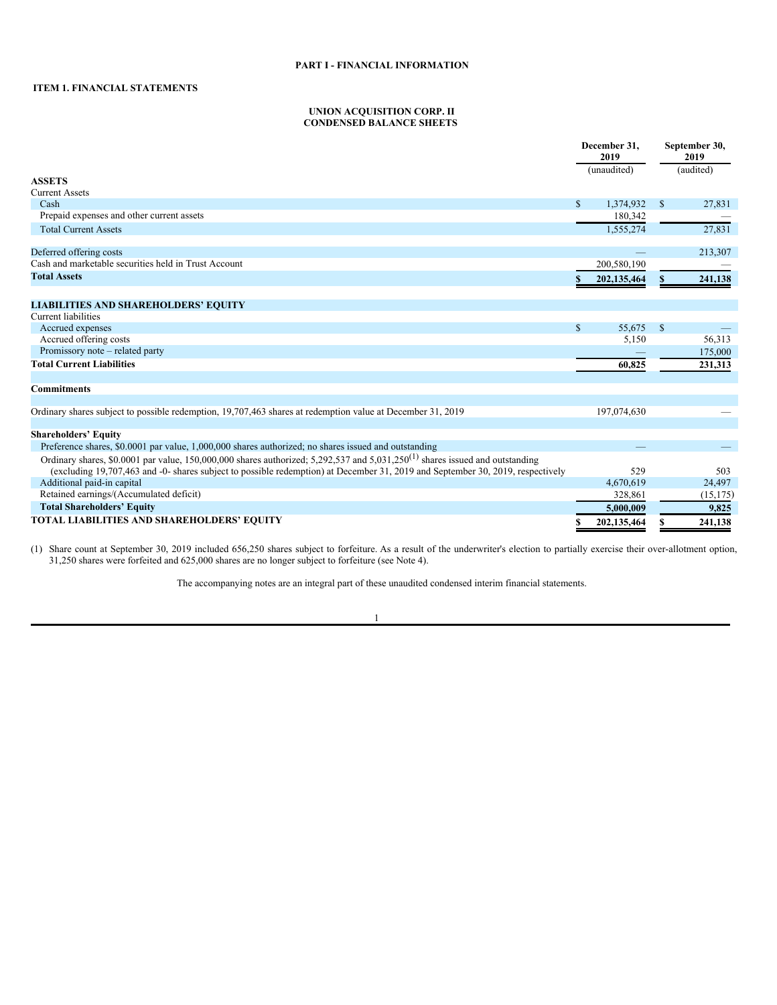# <span id="page-2-1"></span>**ITEM 1. FINANCIAL STATEMENTS**

### <span id="page-2-2"></span><span id="page-2-0"></span>**UNION ACQUISITION CORP. II CONDENSED BALANCE SHEETS**

|                                                                                                                                          |              | December 31.<br>2019 |              | September 30,<br>2019 |  |
|------------------------------------------------------------------------------------------------------------------------------------------|--------------|----------------------|--------------|-----------------------|--|
|                                                                                                                                          |              | (unaudited)          |              | (audited)             |  |
| <b>ASSETS</b>                                                                                                                            |              |                      |              |                       |  |
| <b>Current Assets</b>                                                                                                                    |              |                      |              |                       |  |
| Cash                                                                                                                                     | $\mathbb{S}$ | 1.374.932            | $\mathbb{S}$ | 27,831                |  |
| Prepaid expenses and other current assets                                                                                                |              | 180,342              |              |                       |  |
| <b>Total Current Assets</b>                                                                                                              |              | 1,555,274            |              | 27,831                |  |
| Deferred offering costs                                                                                                                  |              |                      |              | 213,307               |  |
| Cash and marketable securities held in Trust Account                                                                                     |              | 200,580,190          |              |                       |  |
| <b>Total Assets</b>                                                                                                                      |              | 202,135,464          |              | 241,138               |  |
|                                                                                                                                          |              |                      |              |                       |  |
| <b>LIABILITIES AND SHAREHOLDERS' EQUITY</b>                                                                                              |              |                      |              |                       |  |
| <b>Current liabilities</b>                                                                                                               |              |                      |              |                       |  |
| Accrued expenses                                                                                                                         | $\mathbb{S}$ | 55.675               | $\mathbb{S}$ |                       |  |
| Accrued offering costs                                                                                                                   |              | 5,150                |              | 56,313                |  |
| Promissory note – related party                                                                                                          |              |                      |              | 175,000               |  |
| <b>Total Current Liabilities</b>                                                                                                         |              | 60,825               |              | 231,313               |  |
| <b>Commitments</b>                                                                                                                       |              |                      |              |                       |  |
|                                                                                                                                          |              |                      |              |                       |  |
| Ordinary shares subject to possible redemption, 19,707,463 shares at redemption value at December 31, 2019                               |              | 197,074,630          |              |                       |  |
| <b>Shareholders' Equity</b>                                                                                                              |              |                      |              |                       |  |
| Preference shares, \$0.0001 par value, 1,000,000 shares authorized; no shares issued and outstanding                                     |              |                      |              |                       |  |
| Ordinary shares, \$0.0001 par value, 150,000,000 shares authorized; 5,292,537 and 5,031,250 <sup>(1)</sup> shares issued and outstanding |              |                      |              |                       |  |
| (excluding 19,707,463 and -0- shares subject to possible redemption) at December 31, 2019 and September 30, 2019, respectively           |              | 529                  |              | 503                   |  |
| Additional paid-in capital                                                                                                               |              | 4,670,619            |              | 24,497                |  |
| Retained earnings/(Accumulated deficit)                                                                                                  |              | 328,861              |              | (15, 175)             |  |
| <b>Total Shareholders' Equity</b>                                                                                                        |              | 5,000,009            |              | 9,825                 |  |
| TOTAL LIABILITIES AND SHAREHOLDERS' EQUITY                                                                                               |              |                      |              |                       |  |
|                                                                                                                                          |              | 202,135,464          |              | 241,138               |  |

(1) Share count at September 30, 2019 included 656,250 shares subject to forfeiture. As a result of the underwriter's election to partially exercise their over-allotment option, 31,250 shares were forfeited and 625,000 shares are no longer subject to forfeiture (see Note 4).

The accompanying notes are an integral part of these unaudited condensed interim financial statements.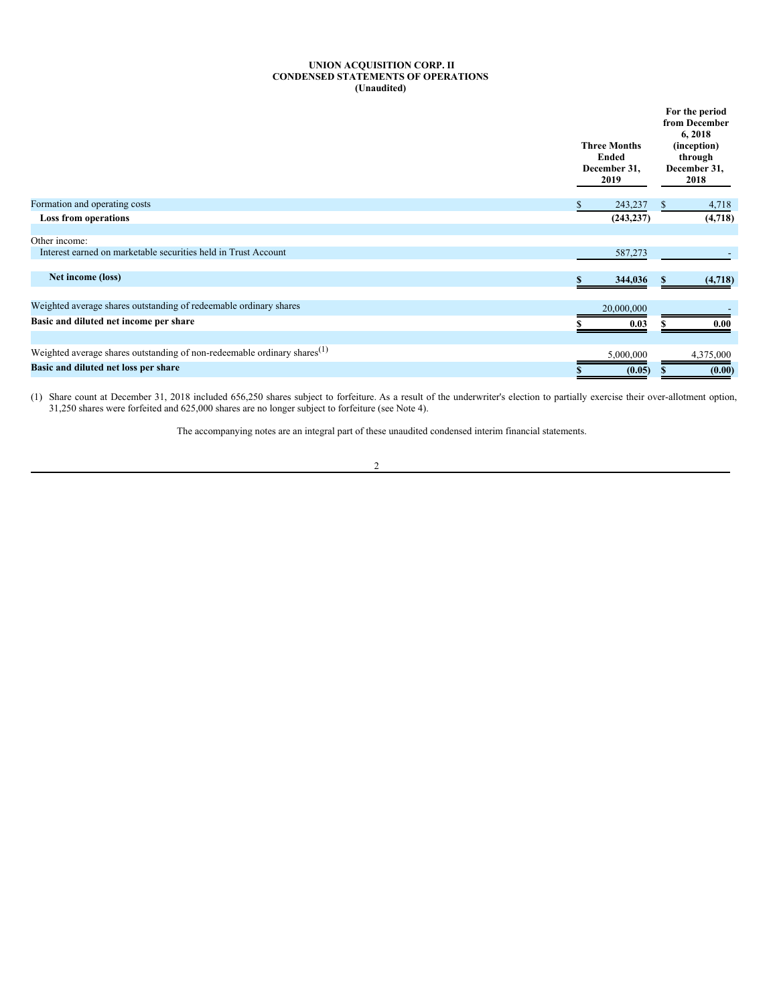# <span id="page-3-0"></span>**UNION ACQUISITION CORP. II CONDENSED STATEMENTS OF OPERATIONS (Unaudited)**

|                                                                                      | <b>Three Months</b><br><b>Ended</b><br>December 31,<br>2019 | For the period<br>from December<br>6, 2018<br>(inception)<br>through<br>December 31,<br>2018 |  |  |
|--------------------------------------------------------------------------------------|-------------------------------------------------------------|----------------------------------------------------------------------------------------------|--|--|
| Formation and operating costs                                                        | 243,237                                                     | 4,718                                                                                        |  |  |
| Loss from operations                                                                 | (243, 237)                                                  | (4,718)                                                                                      |  |  |
| Other income:                                                                        |                                                             |                                                                                              |  |  |
| Interest earned on marketable securities held in Trust Account                       | 587,273                                                     |                                                                                              |  |  |
| Net income (loss)                                                                    | 344,036                                                     | (4,718)                                                                                      |  |  |
| Weighted average shares outstanding of redeemable ordinary shares                    | 20,000,000                                                  |                                                                                              |  |  |
| Basic and diluted net income per share                                               | 0.03                                                        | 0.00                                                                                         |  |  |
| Weighted average shares outstanding of non-redeemable ordinary shares <sup>(1)</sup> | 5,000,000                                                   | 4,375,000                                                                                    |  |  |
| Basic and diluted net loss per share                                                 | (0.05)                                                      | (0.00)                                                                                       |  |  |

(1) Share count at December 31, 2018 included 656,250 shares subject to forfeiture. As a result of the underwriter's election to partially exercise their over-allotment option, 31,250 shares were forfeited and 625,000 shares are no longer subject to forfeiture (see Note 4).

The accompanying notes are an integral part of these unaudited condensed interim financial statements.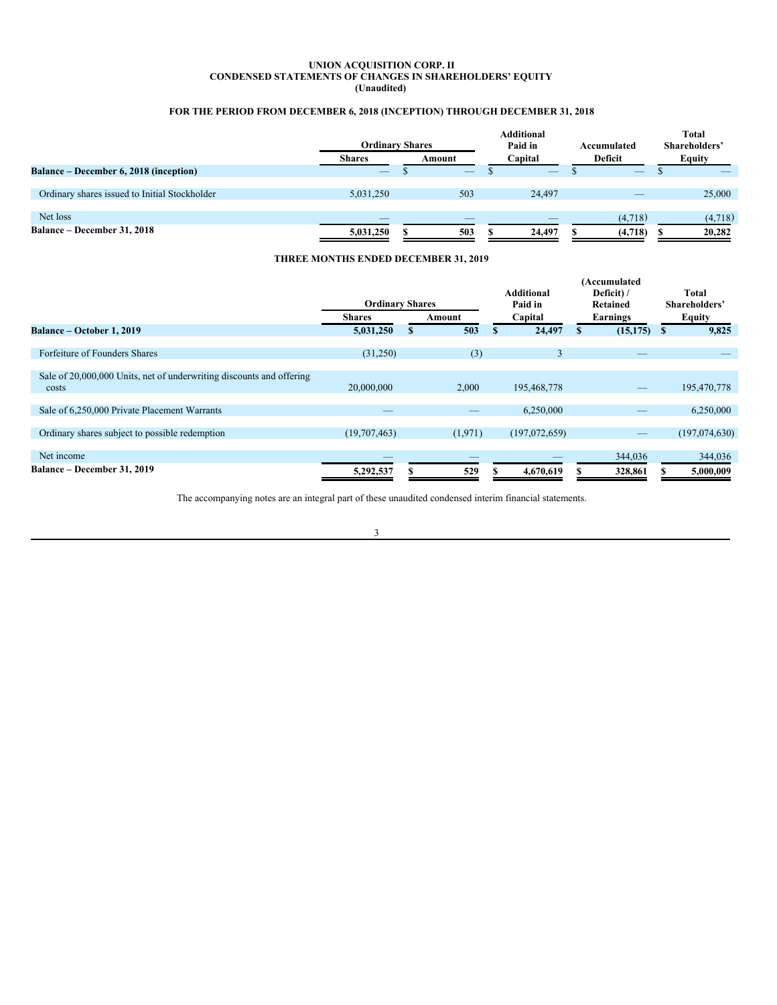#### <span id="page-4-0"></span>**UNION ACQUISITION CORP. II CONDENSED STATEMENTS OF CHANGES IN SHAREHOLDERS' EQUITY (Unaudited)**

# **FOR THE PERIOD FROM DECEMBER 6, 2018 (INCEPTION) THROUGH DECEMBER 31, 2018**

|                                               | <b>Ordinary Shares</b>         |                                 | <b>Additional</b><br>Paid in    | Accumulated                     | <b>Total</b><br>Shareholders' |
|-----------------------------------------------|--------------------------------|---------------------------------|---------------------------------|---------------------------------|-------------------------------|
|                                               | <b>Shares</b>                  | Amount                          | Capital                         | Deficit                         | <b>Equity</b>                 |
| Balance – December 6, 2018 (inception)        | $\overbrace{\hspace{25mm}}^{}$ | $\hspace{0.1mm}-\hspace{0.1mm}$ | $\hspace{0.1mm}-\hspace{0.1mm}$ | $\hspace{0.1mm}-\hspace{0.1mm}$ |                               |
|                                               |                                |                                 |                                 |                                 |                               |
| Ordinary shares issued to Initial Stockholder | 5,031,250                      | 503                             | 24,497                          |                                 | 25,000                        |
|                                               |                                |                                 |                                 |                                 |                               |
| Net loss                                      | _                              | _                               |                                 | (4,718)                         | (4,718)                       |
| <b>Balance – December 31, 2018</b>            | 5.031.250                      | 503                             | 24.497                          | (4,718)                         | 20,282                        |

# **THREE MONTHS ENDED DECEMBER 31, 2019**

|                                                                               |                        |  |         |  |                              | (Accumulated           |   |                               |  |  |          |  |        |
|-------------------------------------------------------------------------------|------------------------|--|---------|--|------------------------------|------------------------|---|-------------------------------|--|--|----------|--|--------|
|                                                                               | <b>Ordinary Shares</b> |  |         |  | <b>Additional</b><br>Paid in | Deficit) /<br>Retained |   | <b>Total</b><br>Shareholders' |  |  |          |  |        |
|                                                                               | <b>Shares</b>          |  | Amount  |  | Capital                      |                        |   |                               |  |  | Earnings |  | Equity |
| Balance – October 1, 2019                                                     | 5,031,250              |  | 503     |  | 24,497                       | (15, 175)              | S | 9,825                         |  |  |          |  |        |
|                                                                               |                        |  |         |  |                              |                        |   |                               |  |  |          |  |        |
| Forfeiture of Founders Shares                                                 | (31,250)               |  | (3)     |  | 3                            |                        |   |                               |  |  |          |  |        |
| Sale of 20,000,000 Units, net of underwriting discounts and offering<br>costs | 20,000,000             |  | 2,000   |  | 195,468,778                  |                        |   | 195,470,778                   |  |  |          |  |        |
|                                                                               |                        |  |         |  |                              |                        |   |                               |  |  |          |  |        |
| Sale of 6,250,000 Private Placement Warrants                                  |                        |  |         |  | 6.250,000                    |                        |   | 6,250,000                     |  |  |          |  |        |
|                                                                               |                        |  |         |  |                              |                        |   |                               |  |  |          |  |        |
| Ordinary shares subject to possible redemption                                | (19,707,463)           |  | (1,971) |  | (197,072,659)                |                        |   | (197,074,630)                 |  |  |          |  |        |
| Net income                                                                    |                        |  |         |  |                              | 344,036                |   | 344,036                       |  |  |          |  |        |
| Balance - December 31, 2019                                                   | 5,292,537              |  | 529     |  | 4,670,619                    | 328,861                |   | 5,000,009                     |  |  |          |  |        |

The accompanying notes are an integral part of these unaudited condensed interim financial statements.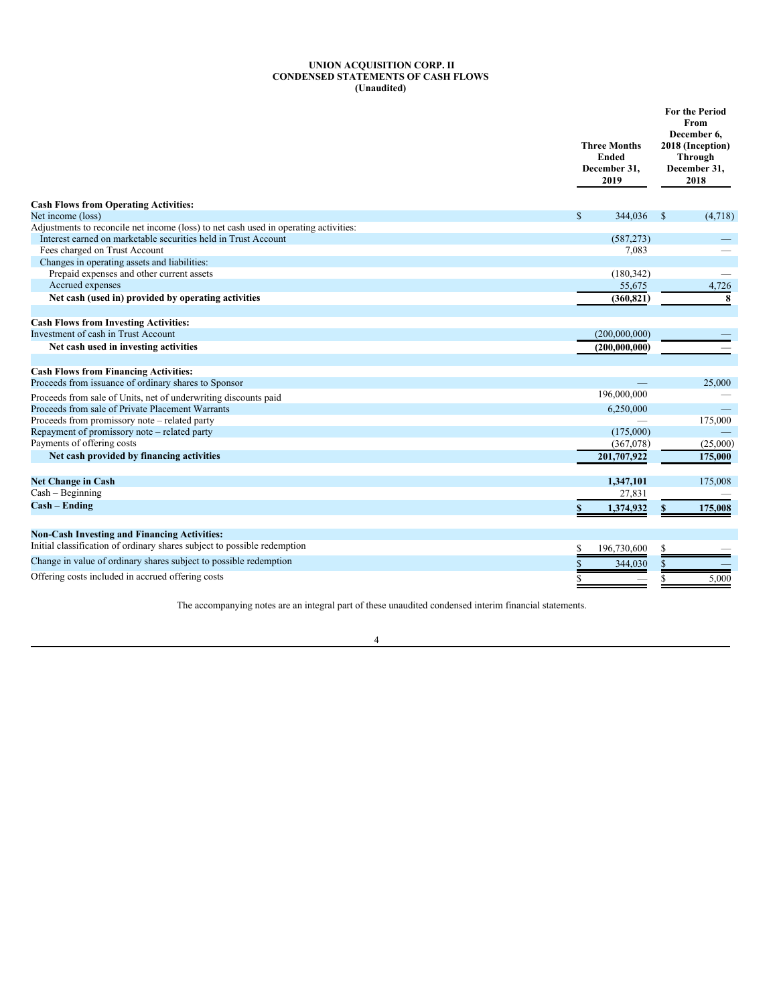#### <span id="page-5-0"></span>**UNION ACQUISITION CORP. II CONDENSED STATEMENTS OF CASH FLOWS (Unaudited)**

|                                                                                      | <b>Three Months</b><br>Ended<br>December 31,<br>2019 | <b>For the Period</b><br>From<br>December 6,<br>2018 (Inception)<br>Through<br>December 31,<br>2018 |
|--------------------------------------------------------------------------------------|------------------------------------------------------|-----------------------------------------------------------------------------------------------------|
| <b>Cash Flows from Operating Activities:</b>                                         |                                                      |                                                                                                     |
| Net income (loss)                                                                    | \$<br>344,036                                        | \$<br>(4,718)                                                                                       |
| Adjustments to reconcile net income (loss) to net cash used in operating activities: |                                                      |                                                                                                     |
| Interest earned on marketable securities held in Trust Account                       | (587, 273)                                           |                                                                                                     |
| Fees charged on Trust Account                                                        | 7.083                                                |                                                                                                     |
| Changes in operating assets and liabilities:                                         |                                                      |                                                                                                     |
| Prepaid expenses and other current assets                                            | (180, 342)                                           |                                                                                                     |
| Accrued expenses                                                                     | 55,675                                               | 4,726                                                                                               |
| Net cash (used in) provided by operating activities                                  | (360, 821)                                           | 8                                                                                                   |
| <b>Cash Flows from Investing Activities:</b>                                         |                                                      |                                                                                                     |
| Investment of cash in Trust Account                                                  | (200,000,000)                                        |                                                                                                     |
| Net cash used in investing activities                                                | (200, 000, 000)                                      |                                                                                                     |
| <b>Cash Flows from Financing Activities:</b>                                         |                                                      |                                                                                                     |
| Proceeds from issuance of ordinary shares to Sponsor                                 |                                                      | 25,000                                                                                              |
| Proceeds from sale of Units, net of underwriting discounts paid                      | 196,000,000                                          |                                                                                                     |
| Proceeds from sale of Private Placement Warrants                                     | 6,250,000                                            |                                                                                                     |
| Proceeds from promissory note – related party                                        |                                                      | 175,000                                                                                             |
| Repayment of promissory note - related party                                         | (175,000)                                            |                                                                                                     |
| Payments of offering costs                                                           |                                                      | (25,000)                                                                                            |
|                                                                                      | (367,078)                                            |                                                                                                     |
| Net cash provided by financing activities                                            | 201,707,922                                          | 175,000                                                                                             |
| <b>Net Change in Cash</b>                                                            | 1,347,101                                            | 175,008                                                                                             |
| $Cash - Beginning$                                                                   | 27,831                                               |                                                                                                     |
| Cash – Ending                                                                        | 1,374,932                                            | 175,008                                                                                             |
|                                                                                      |                                                      |                                                                                                     |
| <b>Non-Cash Investing and Financing Activities:</b>                                  |                                                      |                                                                                                     |
| Initial classification of ordinary shares subject to possible redemption             | 196,730,600<br>S                                     | \$                                                                                                  |
| Change in value of ordinary shares subject to possible redemption                    | 344,030<br>S                                         | \$                                                                                                  |
| Offering costs included in accrued offering costs                                    | S                                                    | 5.000<br>S                                                                                          |

The accompanying notes are an integral part of these unaudited condensed interim financial statements.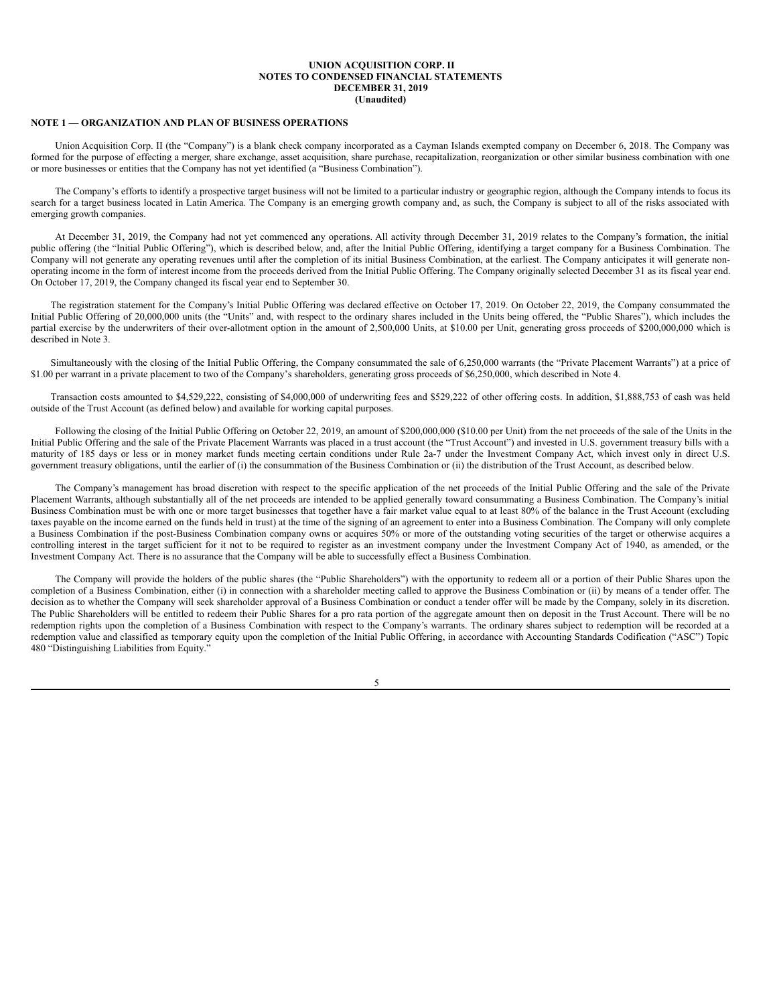# <span id="page-6-0"></span>**NOTE 1 — ORGANIZATION AND PLAN OF BUSINESS OPERATIONS**

Union Acquisition Corp. II (the "Company") is a blank check company incorporated as a Cayman Islands exempted company on December 6, 2018. The Company was formed for the purpose of effecting a merger, share exchange, asset acquisition, share purchase, recapitalization, reorganization or other similar business combination with one or more businesses or entities that the Company has not yet identified (a "Business Combination").

The Company's efforts to identify a prospective target business will not be limited to a particular industry or geographic region, although the Company intends to focus its search for a target business located in Latin America. The Company is an emerging growth company and, as such, the Company is subject to all of the risks associated with emerging growth companies.

At December 31, 2019, the Company had not yet commenced any operations. All activity through December 31, 2019 relates to the Company's formation, the initial public offering (the "Initial Public Offering"), which is described below, and, after the Initial Public Offering, identifying a target company for a Business Combination. The Company will not generate any operating revenues until after the completion of its initial Business Combination, at the earliest. The Company anticipates it will generate nonoperating income in the form of interest income from the proceeds derived from the Initial Public Offering. The Company originally selected December 31 as its fiscal year end. On October 17, 2019, the Company changed its fiscal year end to September 30.

The registration statement for the Company's Initial Public Offering was declared effective on October 17, 2019. On October 22, 2019, the Company consummated the Initial Public Offering of 20,000,000 units (the "Units" and, with respect to the ordinary shares included in the Units being offered, the "Public Shares"), which includes the partial exercise by the underwriters of their over-allotment option in the amount of 2,500,000 Units, at \$10.00 per Unit, generating gross proceeds of \$200,000,000 which is described in Note 3.

Simultaneously with the closing of the Initial Public Offering, the Company consummated the sale of 6,250,000 warrants (the "Private Placement Warrants") at a price of \$1.00 per warrant in a private placement to two of the Company's shareholders, generating gross proceeds of \$6,250,000, which described in Note 4.

Transaction costs amounted to \$4,529,222, consisting of \$4,000,000 of underwriting fees and \$529,222 of other offering costs. In addition, \$1,888,753 of cash was held outside of the Trust Account (as defined below) and available for working capital purposes.

Following the closing of the Initial Public Offering on October 22, 2019, an amount of \$200,000,000 (\$10.00 per Unit) from the net proceeds of the sale of the Units in the Initial Public Offering and the sale of the Private Placement Warrants was placed in a trust account (the "Trust Account") and invested in U.S. government treasury bills with a maturity of 185 days or less or in money market funds meeting certain conditions under Rule 2a-7 under the Investment Company Act, which invest only in direct U.S. government treasury obligations, until the earlier of (i) the consummation of the Business Combination or (ii) the distribution of the Trust Account, as described below.

The Company's management has broad discretion with respect to the specific application of the net proceeds of the Initial Public Offering and the sale of the Private Placement Warrants, although substantially all of the net proceeds are intended to be applied generally toward consummating a Business Combination. The Company's initial Business Combination must be with one or more target businesses that together have a fair market value equal to at least 80% of the balance in the Trust Account (excluding taxes payable on the income earned on the funds held in trust) at the time of the signing of an agreement to enter into a Business Combination. The Company will only complete a Business Combination if the post-Business Combination company owns or acquires 50% or more of the outstanding voting securities of the target or otherwise acquires a controlling interest in the target sufficient for it not to be required to register as an investment company under the Investment Company Act of 1940, as amended, or the Investment Company Act. There is no assurance that the Company will be able to successfully effect a Business Combination.

The Company will provide the holders of the public shares (the "Public Shareholders") with the opportunity to redeem all or a portion of their Public Shares upon the completion of a Business Combination, either (i) in connection with a shareholder meeting called to approve the Business Combination or (ii) by means of a tender offer. The decision as to whether the Company will seek shareholder approval of a Business Combination or conduct a tender offer will be made by the Company, solely in its discretion. The Public Shareholders will be entitled to redeem their Public Shares for a pro rata portion of the aggregate amount then on deposit in the Trust Account. There will be no redemption rights upon the completion of a Business Combination with respect to the Company's warrants. The ordinary shares subject to redemption will be recorded at a redemption value and classified as temporary equity upon the completion of the Initial Public Offering, in accordance with Accounting Standards Codification ("ASC") Topic 480 "Distinguishing Liabilities from Equity."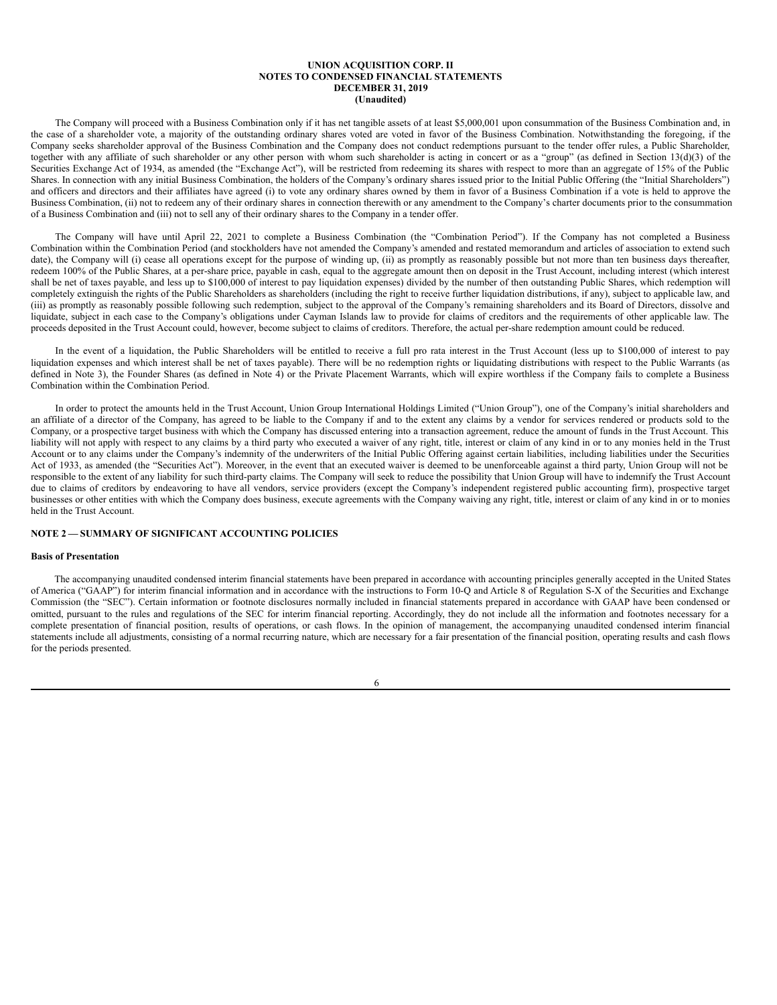The Company will proceed with a Business Combination only if it has net tangible assets of at least \$5,000,001 upon consummation of the Business Combination and, in the case of a shareholder vote, a majority of the outstanding ordinary shares voted are voted in favor of the Business Combination. Notwithstanding the foregoing, if the Company seeks shareholder approval of the Business Combination and the Company does not conduct redemptions pursuant to the tender offer rules, a Public Shareholder, together with any affiliate of such shareholder or any other person with whom such shareholder is acting in concert or as a "group" (as defined in Section 13(d)(3) of the Securities Exchange Act of 1934, as amended (the "Exchange Act"), will be restricted from redeeming its shares with respect to more than an aggregate of 15% of the Public Shares. In connection with any initial Business Combination, the holders of the Company's ordinary shares issued prior to the Initial Public Offering (the "Initial Shareholders") and officers and directors and their affiliates have agreed (i) to vote any ordinary shares owned by them in favor of a Business Combination if a vote is held to approve the Business Combination, (ii) not to redeem any of their ordinary shares in connection therewith or any amendment to the Company's charter documents prior to the consummation of a Business Combination and (iii) not to sell any of their ordinary shares to the Company in a tender offer.

The Company will have until April 22, 2021 to complete a Business Combination (the "Combination Period"). If the Company has not completed a Business Combination within the Combination Period (and stockholders have not amended the Company's amended and restated memorandum and articles of association to extend such date), the Company will (i) cease all operations except for the purpose of winding up, (ii) as promptly as reasonably possible but not more than ten business days thereafter, redeem 100% of the Public Shares, at a per-share price, payable in cash, equal to the aggregate amount then on deposit in the Trust Account, including interest (which interest shall be net of taxes payable, and less up to \$100,000 of interest to pay liquidation expenses) divided by the number of then outstanding Public Shares, which redemption will completely extinguish the rights of the Public Shareholders as shareholders (including the right to receive further liquidation distributions, if any), subject to applicable law, and (iii) as promptly as reasonably possible following such redemption, subject to the approval of the Company's remaining shareholders and its Board of Directors, dissolve and liquidate, subject in each case to the Company's obligations under Cayman Islands law to provide for claims of creditors and the requirements of other applicable law. The proceeds deposited in the Trust Account could, however, become subject to claims of creditors. Therefore, the actual per-share redemption amount could be reduced.

In the event of a liquidation, the Public Shareholders will be entitled to receive a full pro rata interest in the Trust Account (less up to \$100,000 of interest to pay liquidation expenses and which interest shall be net of taxes payable). There will be no redemption rights or liquidating distributions with respect to the Public Warrants (as defined in Note 3), the Founder Shares (as defined in Note 4) or the Private Placement Warrants, which will expire worthless if the Company fails to complete a Business Combination within the Combination Period.

In order to protect the amounts held in the Trust Account, Union Group International Holdings Limited ("Union Group"), one of the Company's initial shareholders and an affiliate of a director of the Company, has agreed to be liable to the Company if and to the extent any claims by a vendor for services rendered or products sold to the Company, or a prospective target business with which the Company has discussed entering into a transaction agreement, reduce the amount of funds in the Trust Account. This liability will not apply with respect to any claims by a third party who executed a waiver of any right, title, interest or claim of any kind in or to any monies held in the Trust Account or to any claims under the Company's indemnity of the underwriters of the Initial Public Offering against certain liabilities, including liabilities under the Securities Act of 1933, as amended (the "Securities Act"). Moreover, in the event that an executed waiver is deemed to be unenforceable against a third party, Union Group will not be responsible to the extent of any liability for such third-party claims. The Company will seek to reduce the possibility that Union Group will have to indemnify the Trust Account due to claims of creditors by endeavoring to have all vendors, service providers (except the Company's independent registered public accounting firm), prospective target businesses or other entities with which the Company does business, execute agreements with the Company waiving any right, title, interest or claim of any kind in or to monies held in the Trust Account.

# **NOTE 2 — SUMMARY OF SIGNIFICANT ACCOUNTING POLICIES**

#### **Basis of Presentation**

The accompanying unaudited condensed interim financial statements have been prepared in accordance with accounting principles generally accepted in the United States of America ("GAAP") for interim financial information and in accordance with the instructions to Form 10-Q and Article 8 of Regulation S-X of the Securities and Exchange Commission (the "SEC"). Certain information or footnote disclosures normally included in financial statements prepared in accordance with GAAP have been condensed or omitted, pursuant to the rules and regulations of the SEC for interim financial reporting. Accordingly, they do not include all the information and footnotes necessary for a complete presentation of financial position, results of operations, or cash flows. In the opinion of management, the accompanying unaudited condensed interim financial statements include all adjustments, consisting of a normal recurring nature, which are necessary for a fair presentation of the financial position, operating results and cash flows for the periods presented.

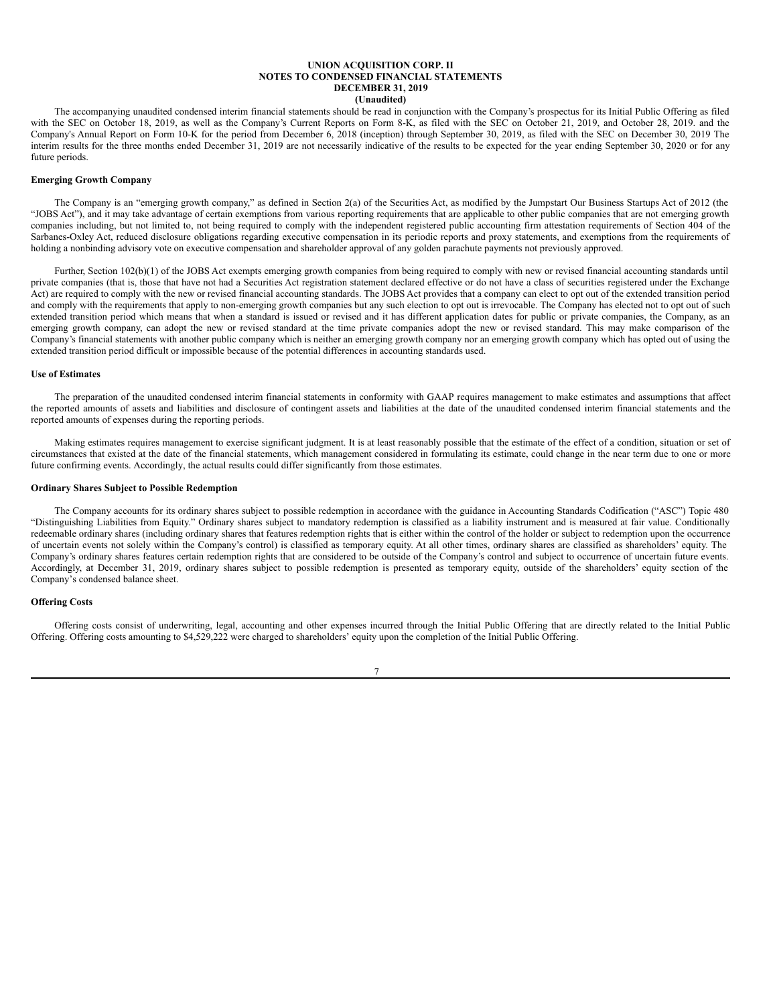The accompanying unaudited condensed interim financial statements should be read in conjunction with the Company's prospectus for its Initial Public Offering as filed with the SEC on October 18, 2019, as well as the Company's Current Reports on Form 8-K, as filed with the SEC on October 21, 2019, and October 28, 2019. and the Company's Annual Report on Form 10-K for the period from December 6, 2018 (inception) through September 30, 2019, as filed with the SEC on December 30, 2019 The interim results for the three months ended December 31, 2019 are not necessarily indicative of the results to be expected for the year ending September 30, 2020 or for any future periods.

### **Emerging Growth Company**

The Company is an "emerging growth company," as defined in Section 2(a) of the Securities Act, as modified by the Jumpstart Our Business Startups Act of 2012 (the "JOBS Act"), and it may take advantage of certain exemptions from various reporting requirements that are applicable to other public companies that are not emerging growth companies including, but not limited to, not being required to comply with the independent registered public accounting firm attestation requirements of Section 404 of the Sarbanes-Oxley Act, reduced disclosure obligations regarding executive compensation in its periodic reports and proxy statements, and exemptions from the requirements of holding a nonbinding advisory vote on executive compensation and shareholder approval of any golden parachute payments not previously approved.

Further, Section 102(b)(1) of the JOBS Act exempts emerging growth companies from being required to comply with new or revised financial accounting standards until private companies (that is, those that have not had a Securities Act registration statement declared effective or do not have a class of securities registered under the Exchange Act) are required to comply with the new or revised financial accounting standards. The JOBS Act provides that a company can elect to opt out of the extended transition period and comply with the requirements that apply to non-emerging growth companies but any such election to opt out is irrevocable. The Company has elected not to opt out of such extended transition period which means that when a standard is issued or revised and it has different application dates for public or private companies, the Company, as an emerging growth company, can adopt the new or revised standard at the time private companies adopt the new or revised standard. This may make comparison of the Company's financial statements with another public company which is neither an emerging growth company nor an emerging growth company which has opted out of using the extended transition period difficult or impossible because of the potential differences in accounting standards used.

#### **Use of Estimates**

The preparation of the unaudited condensed interim financial statements in conformity with GAAP requires management to make estimates and assumptions that affect the reported amounts of assets and liabilities and disclosure of contingent assets and liabilities at the date of the unaudited condensed interim financial statements and the reported amounts of expenses during the reporting periods.

Making estimates requires management to exercise significant judgment. It is at least reasonably possible that the estimate of the effect of a condition, situation or set of circumstances that existed at the date of the financial statements, which management considered in formulating its estimate, could change in the near term due to one or more future confirming events. Accordingly, the actual results could differ significantly from those estimates.

### **Ordinary Shares Subject to Possible Redemption**

The Company accounts for its ordinary shares subject to possible redemption in accordance with the guidance in Accounting Standards Codification ("ASC") Topic 480 "Distinguishing Liabilities from Equity." Ordinary shares subject to mandatory redemption is classified as a liability instrument and is measured at fair value. Conditionally redeemable ordinary shares (including ordinary shares that features redemption rights that is either within the control of the holder or subject to redemption upon the occurrence of uncertain events not solely within the Company's control) is classified as temporary equity. At all other times, ordinary shares are classified as shareholders' equity. The Company's ordinary shares features certain redemption rights that are considered to be outside of the Company's control and subject to occurrence of uncertain future events. Accordingly, at December 31, 2019, ordinary shares subject to possible redemption is presented as temporary equity, outside of the shareholders' equity section of the Company's condensed balance sheet.

#### **Offering Costs**

Offering costs consist of underwriting, legal, accounting and other expenses incurred through the Initial Public Offering that are directly related to the Initial Public Offering. Offering costs amounting to \$4,529,222 were charged to shareholders' equity upon the completion of the Initial Public Offering.

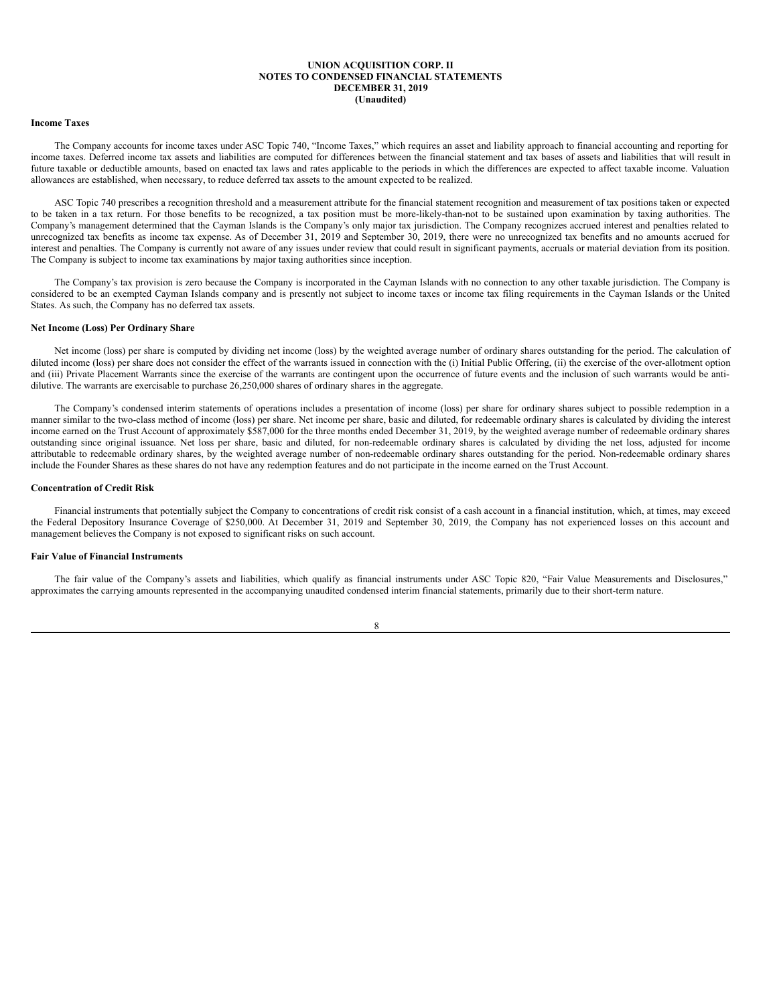#### **Income Taxes**

The Company accounts for income taxes under ASC Topic 740, "Income Taxes," which requires an asset and liability approach to financial accounting and reporting for income taxes. Deferred income tax assets and liabilities are computed for differences between the financial statement and tax bases of assets and liabilities that will result in future taxable or deductible amounts, based on enacted tax laws and rates applicable to the periods in which the differences are expected to affect taxable income. Valuation allowances are established, when necessary, to reduce deferred tax assets to the amount expected to be realized.

ASC Topic 740 prescribes a recognition threshold and a measurement attribute for the financial statement recognition and measurement of tax positions taken or expected to be taken in a tax return. For those benefits to be recognized, a tax position must be more-likely-than-not to be sustained upon examination by taxing authorities. The Company's management determined that the Cayman Islands is the Company's only major tax jurisdiction. The Company recognizes accrued interest and penalties related to unrecognized tax benefits as income tax expense. As of December 31, 2019 and September 30, 2019, there were no unrecognized tax benefits and no amounts accrued for interest and penalties. The Company is currently not aware of any issues under review that could result in significant payments, accruals or material deviation from its position. The Company is subject to income tax examinations by major taxing authorities since inception.

The Company's tax provision is zero because the Company is incorporated in the Cayman Islands with no connection to any other taxable jurisdiction. The Company is considered to be an exempted Cayman Islands company and is presently not subject to income taxes or income tax filing requirements in the Cayman Islands or the United States. As such, the Company has no deferred tax assets.

#### **Net Income (Loss) Per Ordinary Share**

Net income (loss) per share is computed by dividing net income (loss) by the weighted average number of ordinary shares outstanding for the period. The calculation of diluted income (loss) per share does not consider the effect of the warrants issued in connection with the (i) Initial Public Offering, (ii) the exercise of the over-allotment option and (iii) Private Placement Warrants since the exercise of the warrants are contingent upon the occurrence of future events and the inclusion of such warrants would be antidilutive. The warrants are exercisable to purchase 26,250,000 shares of ordinary shares in the aggregate.

The Company's condensed interim statements of operations includes a presentation of income (loss) per share for ordinary shares subject to possible redemption in a manner similar to the two-class method of income (loss) per share. Net income per share, basic and diluted, for redeemable ordinary shares is calculated by dividing the interest income earned on the Trust Account of approximately \$587,000 for the three months ended December 31, 2019, by the weighted average number of redeemable ordinary shares outstanding since original issuance. Net loss per share, basic and diluted, for non-redeemable ordinary shares is calculated by dividing the net loss, adjusted for income attributable to redeemable ordinary shares, by the weighted average number of non-redeemable ordinary shares outstanding for the period. Non-redeemable ordinary shares include the Founder Shares as these shares do not have any redemption features and do not participate in the income earned on the Trust Account.

#### **Concentration of Credit Risk**

Financial instruments that potentially subject the Company to concentrations of credit risk consist of a cash account in a financial institution, which, at times, may exceed the Federal Depository Insurance Coverage of \$250,000. At December 31, 2019 and September 30, 2019, the Company has not experienced losses on this account and management believes the Company is not exposed to significant risks on such account.

### **Fair Value of Financial Instruments**

The fair value of the Company's assets and liabilities, which qualify as financial instruments under ASC Topic 820, "Fair Value Measurements and Disclosures," approximates the carrying amounts represented in the accompanying unaudited condensed interim financial statements, primarily due to their short-term nature.

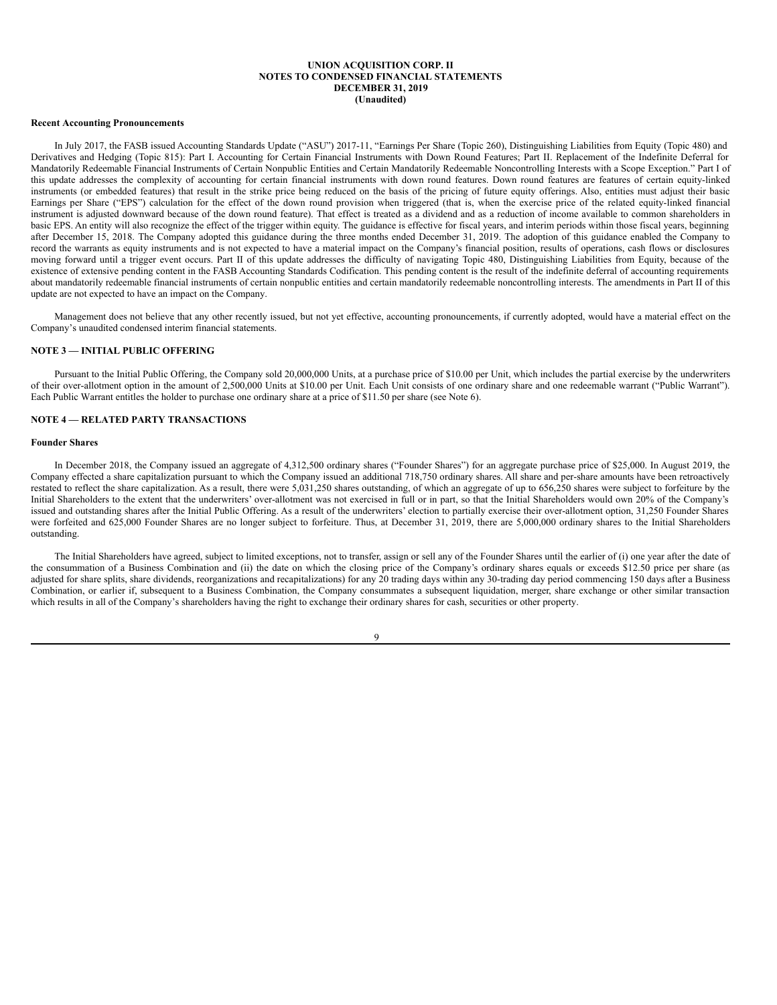#### **Recent Accounting Pronouncements**

In July 2017, the FASB issued Accounting Standards Update ("ASU") 2017-11, "Earnings Per Share (Topic 260), Distinguishing Liabilities from Equity (Topic 480) and Derivatives and Hedging (Topic 815): Part I. Accounting for Certain Financial Instruments with Down Round Features; Part II. Replacement of the Indefinite Deferral for Mandatorily Redeemable Financial Instruments of Certain Nonpublic Entities and Certain Mandatorily Redeemable Noncontrolling Interests with a Scope Exception." Part I of this update addresses the complexity of accounting for certain financial instruments with down round features. Down round features are features of certain equity-linked instruments (or embedded features) that result in the strike price being reduced on the basis of the pricing of future equity offerings. Also, entities must adjust their basic Earnings per Share ("EPS") calculation for the effect of the down round provision when triggered (that is, when the exercise price of the related equity-linked financial instrument is adjusted downward because of the down round feature). That effect is treated as a dividend and as a reduction of income available to common shareholders in basic EPS. An entity will also recognize the effect of the trigger within equity. The guidance is effective for fiscal years, and interim periods within those fiscal years, beginning after December 15, 2018. The Company adopted this guidance during the three months ended December 31, 2019. The adoption of this guidance enabled the Company to record the warrants as equity instruments and is not expected to have a material impact on the Company's financial position, results of operations, cash flows or disclosures moving forward until a trigger event occurs. Part II of this update addresses the difficulty of navigating Topic 480, Distinguishing Liabilities from Equity, because of the existence of extensive pending content in the FASB Accounting Standards Codification. This pending content is the result of the indefinite deferral of accounting requirements about mandatorily redeemable financial instruments of certain nonpublic entities and certain mandatorily redeemable noncontrolling interests. The amendments in Part II of this update are not expected to have an impact on the Company.

Management does not believe that any other recently issued, but not yet effective, accounting pronouncements, if currently adopted, would have a material effect on the Company's unaudited condensed interim financial statements.

#### **NOTE 3 — INITIAL PUBLIC OFFERING**

Pursuant to the Initial Public Offering, the Company sold 20,000,000 Units, at a purchase price of \$10.00 per Unit, which includes the partial exercise by the underwriters of their over-allotment option in the amount of 2,500,000 Units at \$10.00 per Unit. Each Unit consists of one ordinary share and one redeemable warrant ("Public Warrant"). Each Public Warrant entitles the holder to purchase one ordinary share at a price of \$11.50 per share (see Note 6).

### **NOTE 4 — RELATED PARTY TRANSACTIONS**

#### **Founder Shares**

In December 2018, the Company issued an aggregate of 4,312,500 ordinary shares ("Founder Shares") for an aggregate purchase price of \$25,000. In August 2019, the Company effected a share capitalization pursuant to which the Company issued an additional 718,750 ordinary shares. All share and per-share amounts have been retroactively restated to reflect the share capitalization. As a result, there were 5,031,250 shares outstanding, of which an aggregate of up to 656,250 shares were subject to forfeiture by the Initial Shareholders to the extent that the underwriters' over-allotment was not exercised in full or in part, so that the Initial Shareholders would own 20% of the Company's issued and outstanding shares after the Initial Public Offering. As a result of the underwriters' election to partially exercise their over-allotment option, 31,250 Founder Shares were forfeited and 625,000 Founder Shares are no longer subject to forfeiture. Thus, at December 31, 2019, there are 5,000,000 ordinary shares to the Initial Shareholders outstanding.

The Initial Shareholders have agreed, subject to limited exceptions, not to transfer, assign or sell any of the Founder Shares until the earlier of (i) one year after the date of the consummation of a Business Combination and (ii) the date on which the closing price of the Company's ordinary shares equals or exceeds \$12.50 price per share (as adjusted for share splits, share dividends, reorganizations and recapitalizations) for any 20 trading days within any 30-trading day period commencing 150 days after a Business Combination, or earlier if, subsequent to a Business Combination, the Company consummates a subsequent liquidation, merger, share exchange or other similar transaction which results in all of the Company's shareholders having the right to exchange their ordinary shares for cash, securities or other property.

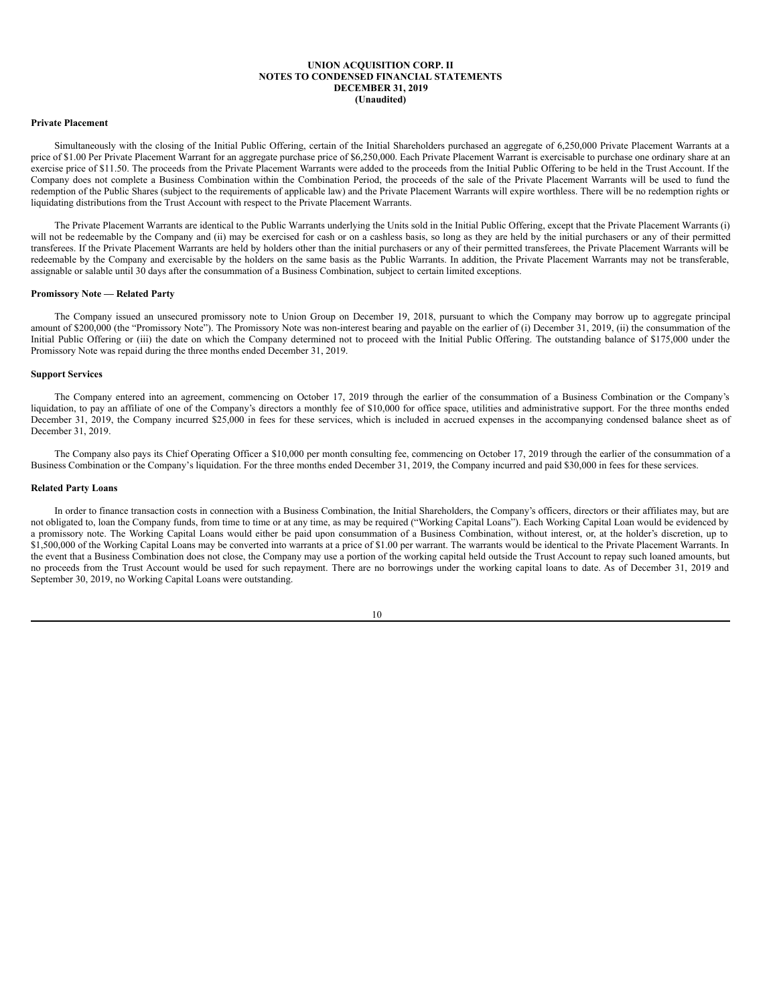#### **Private Placement**

Simultaneously with the closing of the Initial Public Offering, certain of the Initial Shareholders purchased an aggregate of 6,250,000 Private Placement Warrants at a price of \$1.00 Per Private Placement Warrant for an aggregate purchase price of \$6,250,000. Each Private Placement Warrant is exercisable to purchase one ordinary share at an exercise price of \$11.50. The proceeds from the Private Placement Warrants were added to the proceeds from the Initial Public Offering to be held in the Trust Account. If the Company does not complete a Business Combination within the Combination Period, the proceeds of the sale of the Private Placement Warrants will be used to fund the redemption of the Public Shares (subject to the requirements of applicable law) and the Private Placement Warrants will expire worthless. There will be no redemption rights or liquidating distributions from the Trust Account with respect to the Private Placement Warrants.

The Private Placement Warrants are identical to the Public Warrants underlying the Units sold in the Initial Public Offering, except that the Private Placement Warrants (i) will not be redeemable by the Company and (ii) may be exercised for cash or on a cashless basis, so long as they are held by the initial purchasers or any of their permitted transferees. If the Private Placement Warrants are held by holders other than the initial purchasers or any of their permitted transferees, the Private Placement Warrants will be redeemable by the Company and exercisable by the holders on the same basis as the Public Warrants. In addition, the Private Placement Warrants may not be transferable, assignable or salable until 30 days after the consummation of a Business Combination, subject to certain limited exceptions.

#### **Promissory Note — Related Party**

The Company issued an unsecured promissory note to Union Group on December 19, 2018, pursuant to which the Company may borrow up to aggregate principal amount of \$200,000 (the "Promissory Note"). The Promissory Note was non-interest bearing and payable on the earlier of (i) December 31, 2019, (ii) the consummation of the Initial Public Offering or (iii) the date on which the Company determined not to proceed with the Initial Public Offering. The outstanding balance of \$175,000 under the Promissory Note was repaid during the three months ended December 31, 2019.

#### **Support Services**

The Company entered into an agreement, commencing on October 17, 2019 through the earlier of the consummation of a Business Combination or the Company's liquidation, to pay an affiliate of one of the Company's directors a monthly fee of \$10,000 for office space, utilities and administrative support. For the three months ended December 31, 2019, the Company incurred \$25,000 in fees for these services, which is included in accrued expenses in the accompanying condensed balance sheet as of December 31, 2019.

The Company also pays its Chief Operating Officer a \$10,000 per month consulting fee, commencing on October 17, 2019 through the earlier of the consummation of a Business Combination or the Company's liquidation. For the three months ended December 31, 2019, the Company incurred and paid \$30,000 in fees for these services.

#### **Related Party Loans**

In order to finance transaction costs in connection with a Business Combination, the Initial Shareholders, the Company's officers, directors or their affiliates may, but are not obligated to, loan the Company funds, from time to time or at any time, as may be required ("Working Capital Loans"). Each Working Capital Loan would be evidenced by a promissory note. The Working Capital Loans would either be paid upon consummation of a Business Combination, without interest, or, at the holder's discretion, up to \$1,500,000 of the Working Capital Loans may be converted into warrants at a price of \$1.00 per warrant. The warrants would be identical to the Private Placement Warrants. In the event that a Business Combination does not close, the Company may use a portion of the working capital held outside the Trust Account to repay such loaned amounts, but no proceeds from the Trust Account would be used for such repayment. There are no borrowings under the working capital loans to date. As of December 31, 2019 and September 30, 2019, no Working Capital Loans were outstanding.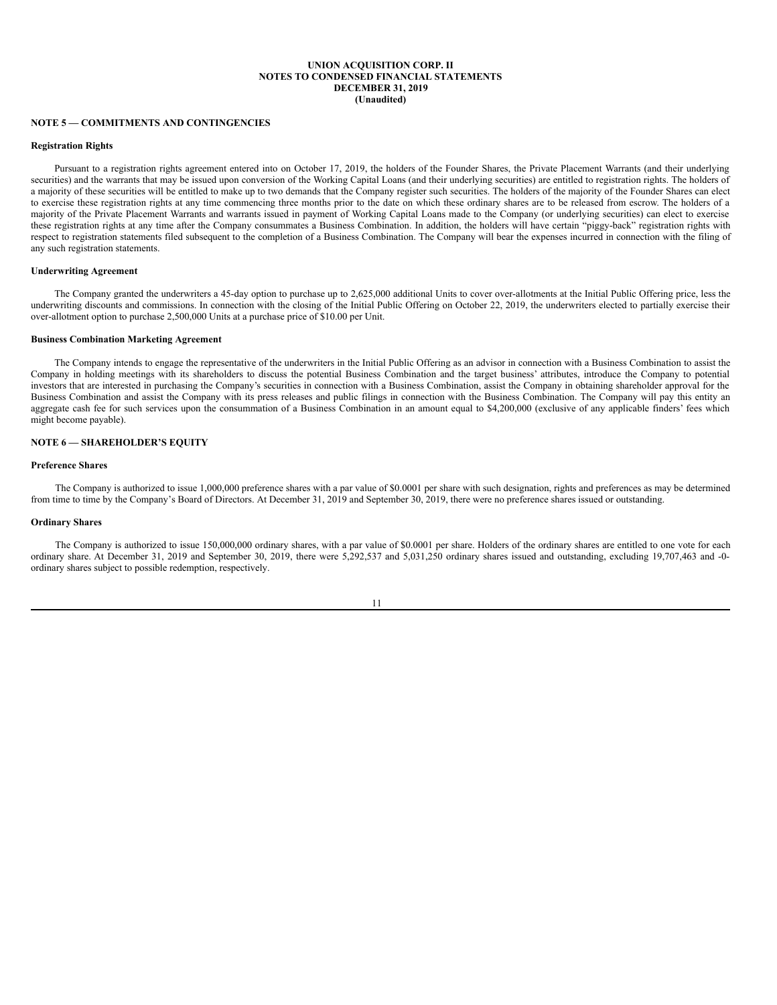### **NOTE 5 — COMMITMENTS AND CONTINGENCIES**

#### **Registration Rights**

Pursuant to a registration rights agreement entered into on October 17, 2019, the holders of the Founder Shares, the Private Placement Warrants (and their underlying securities) and the warrants that may be issued upon conversion of the Working Capital Loans (and their underlying securities) are entitled to registration rights. The holders of a majority of these securities will be entitled to make up to two demands that the Company register such securities. The holders of the majority of the Founder Shares can elect to exercise these registration rights at any time commencing three months prior to the date on which these ordinary shares are to be released from escrow. The holders of a majority of the Private Placement Warrants and warrants issued in payment of Working Capital Loans made to the Company (or underlying securities) can elect to exercise these registration rights at any time after the Company consummates a Business Combination. In addition, the holders will have certain "piggy-back" registration rights with respect to registration statements filed subsequent to the completion of a Business Combination. The Company will bear the expenses incurred in connection with the filing of any such registration statements.

### **Underwriting Agreement**

The Company granted the underwriters a 45-day option to purchase up to 2,625,000 additional Units to cover over-allotments at the Initial Public Offering price, less the underwriting discounts and commissions. In connection with the closing of the Initial Public Offering on October 22, 2019, the underwriters elected to partially exercise their over-allotment option to purchase 2,500,000 Units at a purchase price of \$10.00 per Unit.

### **Business Combination Marketing Agreement**

The Company intends to engage the representative of the underwriters in the Initial Public Offering as an advisor in connection with a Business Combination to assist the Company in holding meetings with its shareholders to discuss the potential Business Combination and the target business' attributes, introduce the Company to potential investors that are interested in purchasing the Company's securities in connection with a Business Combination, assist the Company in obtaining shareholder approval for the Business Combination and assist the Company with its press releases and public filings in connection with the Business Combination. The Company will pay this entity an aggregate cash fee for such services upon the consummation of a Business Combination in an amount equal to \$4,200,000 (exclusive of any applicable finders' fees which might become payable).

#### **NOTE 6 — SHAREHOLDER'S EQUITY**

#### **Preference Shares**

The Company is authorized to issue 1,000,000 preference shares with a par value of \$0.0001 per share with such designation, rights and preferences as may be determined from time to time by the Company's Board of Directors. At December 31, 2019 and September 30, 2019, there were no preference shares issued or outstanding.

#### **Ordinary Shares**

The Company is authorized to issue 150,000,000 ordinary shares, with a par value of \$0.0001 per share. Holders of the ordinary shares are entitled to one vote for each ordinary share. At December 31, 2019 and September 30, 2019, there were 5,292,537 and 5,031,250 ordinary shares issued and outstanding, excluding 19,707,463 and -0 ordinary shares subject to possible redemption, respectively.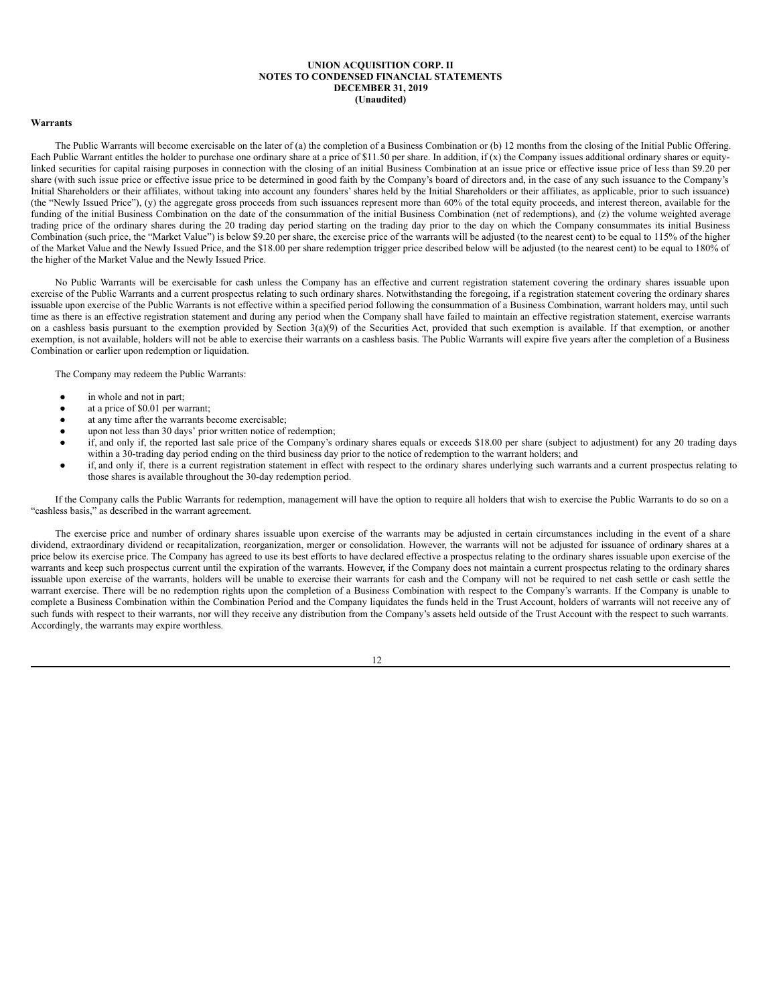#### **Warrants**

The Public Warrants will become exercisable on the later of (a) the completion of a Business Combination or (b) 12 months from the closing of the Initial Public Offering. Each Public Warrant entitles the holder to purchase one ordinary share at a price of \$11.50 per share. In addition, if (x) the Company issues additional ordinary shares or equitylinked securities for capital raising purposes in connection with the closing of an initial Business Combination at an issue price or effective issue price of less than \$9.20 per share (with such issue price or effective issue price to be determined in good faith by the Company's board of directors and, in the case of any such issuance to the Company's Initial Shareholders or their affiliates, without taking into account any founders' shares held by the Initial Shareholders or their affiliates, as applicable, prior to such issuance) (the "Newly Issued Price"), (y) the aggregate gross proceeds from such issuances represent more than 60% of the total equity proceeds, and interest thereon, available for the funding of the initial Business Combination on the date of the consummation of the initial Business Combination (net of redemptions), and (z) the volume weighted average trading price of the ordinary shares during the 20 trading day period starting on the trading day prior to the day on which the Company consummates its initial Business Combination (such price, the "Market Value") is below \$9.20 per share, the exercise price of the warrants will be adjusted (to the nearest cent) to be equal to 115% of the higher of the Market Value and the Newly Issued Price, and the \$18.00 per share redemption trigger price described below will be adjusted (to the nearest cent) to be equal to 180% of the higher of the Market Value and the Newly Issued Price.

No Public Warrants will be exercisable for cash unless the Company has an effective and current registration statement covering the ordinary shares issuable upon exercise of the Public Warrants and a current prospectus relating to such ordinary shares. Notwithstanding the foregoing, if a registration statement covering the ordinary shares issuable upon exercise of the Public Warrants is not effective within a specified period following the consummation of a Business Combination, warrant holders may, until such time as there is an effective registration statement and during any period when the Company shall have failed to maintain an effective registration statement, exercise warrants on a cashless basis pursuant to the exemption provided by Section 3(a)(9) of the Securities Act, provided that such exemption is available. If that exemption, or another exemption, is not available, holders will not be able to exercise their warrants on a cashless basis. The Public Warrants will expire five years after the completion of a Business Combination or earlier upon redemption or liquidation.

The Company may redeem the Public Warrants:

- in whole and not in part;
- at a price of \$0.01 per warrant;
- at any time after the warrants become exercisable;
- upon not less than 30 days' prior written notice of redemption;
- if, and only if, the reported last sale price of the Company's ordinary shares equals or exceeds \$18.00 per share (subject to adjustment) for any 20 trading days within a 30-trading day period ending on the third business day prior to the notice of redemption to the warrant holders; and
- if, and only if, there is a current registration statement in effect with respect to the ordinary shares underlying such warrants and a current prospectus relating to those shares is available throughout the 30-day redemption period.

If the Company calls the Public Warrants for redemption, management will have the option to require all holders that wish to exercise the Public Warrants to do so on a "cashless basis," as described in the warrant agreement.

The exercise price and number of ordinary shares issuable upon exercise of the warrants may be adjusted in certain circumstances including in the event of a share dividend, extraordinary dividend or recapitalization, reorganization, merger or consolidation. However, the warrants will not be adjusted for issuance of ordinary shares at a price below its exercise price. The Company has agreed to use its best efforts to have declared effective a prospectus relating to the ordinary shares issuable upon exercise of the warrants and keep such prospectus current until the expiration of the warrants. However, if the Company does not maintain a current prospectus relating to the ordinary shares issuable upon exercise of the warrants, holders will be unable to exercise their warrants for cash and the Company will not be required to net cash settle or cash settle the warrant exercise. There will be no redemption rights upon the completion of a Business Combination with respect to the Company's warrants. If the Company is unable to complete a Business Combination within the Combination Period and the Company liquidates the funds held in the Trust Account, holders of warrants will not receive any of such funds with respect to their warrants, nor will they receive any distribution from the Company's assets held outside of the Trust Account with the respect to such warrants. Accordingly, the warrants may expire worthless.

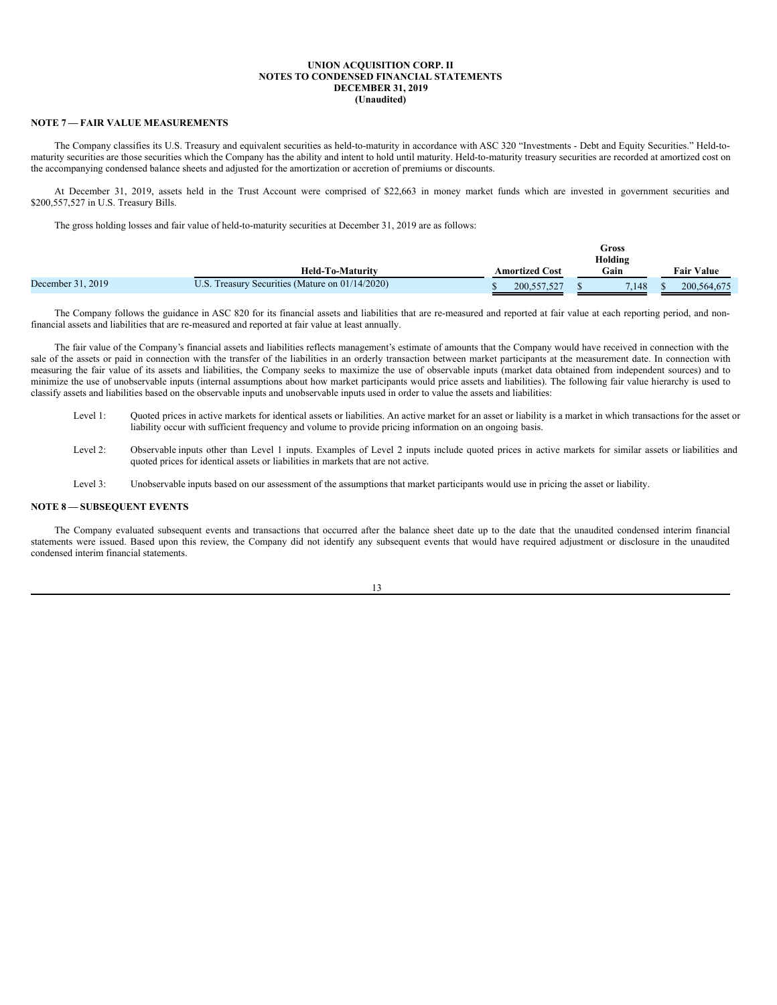# **NOTE 7 — FAIR VALUE MEASUREMENTS**

The Company classifies its U.S. Treasury and equivalent securities as held-to-maturity in accordance with ASC 320 "Investments - Debt and Equity Securities." Held-tomaturity securities are those securities which the Company has the ability and intent to hold until maturity. Held-to-maturity treasury securities are recorded at amortized cost on the accompanying condensed balance sheets and adjusted for the amortization or accretion of premiums or discounts.

At December 31, 2019, assets held in the Trust Account were comprised of \$22,663 in money market funds which are invested in government securities and \$200,557,527 in U.S. Treasury Bills.

The gross holding losses and fair value of held-to-maturity securities at December 31, 2019 are as follows:

|                   |                                                 | Gross                 |  |       |  |                   |
|-------------------|-------------------------------------------------|-----------------------|--|-------|--|-------------------|
|                   |                                                 | Holding               |  |       |  |                   |
|                   | <b>Held-To-Maturity</b>                         | <b>Amortized Cost</b> |  | Gain  |  | <b>Fair Value</b> |
| December 31, 2019 | U.S. Treasury Securities (Mature on 01/14/2020) | 200, 557, 527         |  | 7.148 |  | 200, 564, 675     |

The Company follows the guidance in ASC 820 for its financial assets and liabilities that are re-measured and reported at fair value at each reporting period, and nonfinancial assets and liabilities that are re-measured and reported at fair value at least annually.

The fair value of the Company's financial assets and liabilities reflects management's estimate of amounts that the Company would have received in connection with the sale of the assets or paid in connection with the transfer of the liabilities in an orderly transaction between market participants at the measurement date. In connection with measuring the fair value of its assets and liabilities, the Company seeks to maximize the use of observable inputs (market data obtained from independent sources) and to minimize the use of unobservable inputs (internal assumptions about how market participants would price assets and liabilities). The following fair value hierarchy is used to classify assets and liabilities based on the observable inputs and unobservable inputs used in order to value the assets and liabilities:

- Level 1: Ouoted prices in active markets for identical assets or liabilities. An active market for an asset or liability is a market in which transactions for the asset or liability occur with sufficient frequency and volume to provide pricing information on an ongoing basis.
- Level 2: Observable inputs other than Level 1 inputs. Examples of Level 2 inputs include quoted prices in active markets for similar assets or liabilities and quoted prices for identical assets or liabilities in markets that are not active.
- Level 3: Unobservable inputs based on our assessment of the assumptions that market participants would use in pricing the asset or liability.

### **NOTE 8 — SUBSEQUENT EVENTS**

The Company evaluated subsequent events and transactions that occurred after the balance sheet date up to the date that the unaudited condensed interim financial statements were issued. Based upon this review, the Company did not identify any subsequent events that would have required adjustment or disclosure in the unaudited condensed interim financial statements.

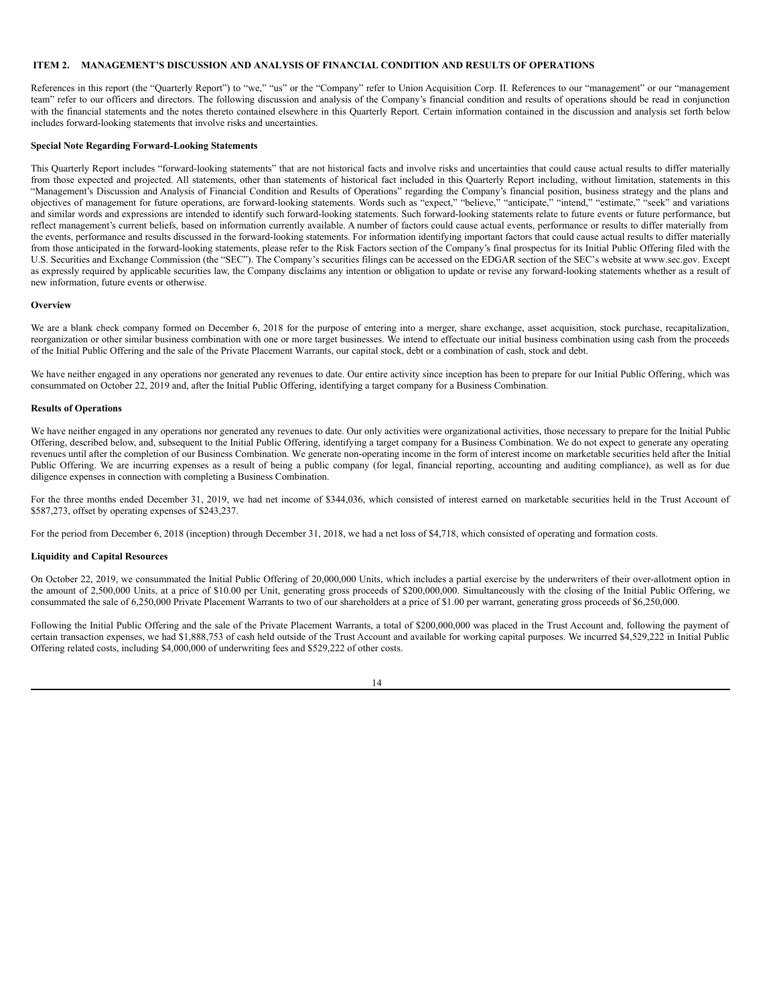#### <span id="page-15-0"></span>**ITEM 2. MANAGEMENT'S DISCUSSION AND ANALYSIS OF FINANCIAL CONDITION AND RESULTS OF OPERATIONS**

References in this report (the "Quarterly Report") to "we," "us" or the "Company" refer to Union Acquisition Corp. II. References to our "management" or our "management" team" refer to our officers and directors. The following discussion and analysis of the Company's financial condition and results of operations should be read in conjunction with the financial statements and the notes thereto contained elsewhere in this Quarterly Report. Certain information contained in the discussion and analysis set forth below includes forward-looking statements that involve risks and uncertainties.

### **Special Note Regarding Forward-Looking Statements**

This Quarterly Report includes "forward-looking statements" that are not historical facts and involve risks and uncertainties that could cause actual results to differ materially from those expected and projected. All statements, other than statements of historical fact included in this Quarterly Report including, without limitation, statements in this "Management's Discussion and Analysis of Financial Condition and Results of Operations" regarding the Company's financial position, business strategy and the plans and objectives of management for future operations, are forward-looking statements. Words such as "expect," "believe," "anticipate," "intend," "estimate," "seek" and variations and similar words and expressions are intended to identify such forward-looking statements. Such forward-looking statements relate to future events or future performance, but reflect management's current beliefs, based on information currently available. A number of factors could cause actual events, performance or results to differ materially from the events, performance and results discussed in the forward-looking statements. For information identifying important factors that could cause actual results to differ materially from those anticipated in the forward-looking statements, please refer to the Risk Factors section of the Company's final prospectus for its Initial Public Offering filed with the U.S. Securities and Exchange Commission (the "SEC"). The Company's securities filings can be accessed on the EDGAR section of the SEC's website at www.sec.gov. Except as expressly required by applicable securities law, the Company disclaims any intention or obligation to update or revise any forward-looking statements whether as a result of new information, future events or otherwise.

#### **Overview**

We are a blank check company formed on December 6, 2018 for the purpose of entering into a merger, share exchange, asset acquisition, stock purchase, recapitalization, reorganization or other similar business combination with one or more target businesses. We intend to effectuate our initial business combination using cash from the proceeds of the Initial Public Offering and the sale of the Private Placement Warrants, our capital stock, debt or a combination of cash, stock and debt.

We have neither engaged in any operations nor generated any revenues to date. Our entire activity since inception has been to prepare for our Initial Public Offering, which was consummated on October 22, 2019 and, after the Initial Public Offering, identifying a target company for a Business Combination.

#### **Results of Operations**

We have neither engaged in any operations nor generated any revenues to date. Our only activities were organizational activities, those necessary to prepare for the Initial Public Offering, described below, and, subsequent to the Initial Public Offering, identifying a target company for a Business Combination. We do not expect to generate any operating revenues until after the completion of our Business Combination. We generate non-operating income in the form of interest income on marketable securities held after the Initial Public Offering. We are incurring expenses as a result of being a public company (for legal, financial reporting, accounting and auditing compliance), as well as for due diligence expenses in connection with completing a Business Combination.

For the three months ended December 31, 2019, we had net income of \$344,036, which consisted of interest earned on marketable securities held in the Trust Account of \$587,273, offset by operating expenses of \$243,237.

For the period from December 6, 2018 (inception) through December 31, 2018, we had a net loss of \$4,718, which consisted of operating and formation costs.

# **Liquidity and Capital Resources**

On October 22, 2019, we consummated the Initial Public Offering of 20,000,000 Units, which includes a partial exercise by the underwriters of their over-allotment option in the amount of 2,500,000 Units, at a price of \$10.00 per Unit, generating gross proceeds of \$200,000,000. Simultaneously with the closing of the Initial Public Offering, we consummated the sale of 6,250,000 Private Placement Warrants to two of our shareholders at a price of \$1.00 per warrant, generating gross proceeds of \$6,250,000.

Following the Initial Public Offering and the sale of the Private Placement Warrants, a total of \$200,000,000 was placed in the Trust Account and, following the payment of certain transaction expenses, we had \$1,888,753 of cash held outside of the Trust Account and available for working capital purposes. We incurred \$4,529,222 in Initial Public Offering related costs, including \$4,000,000 of underwriting fees and \$529,222 of other costs.

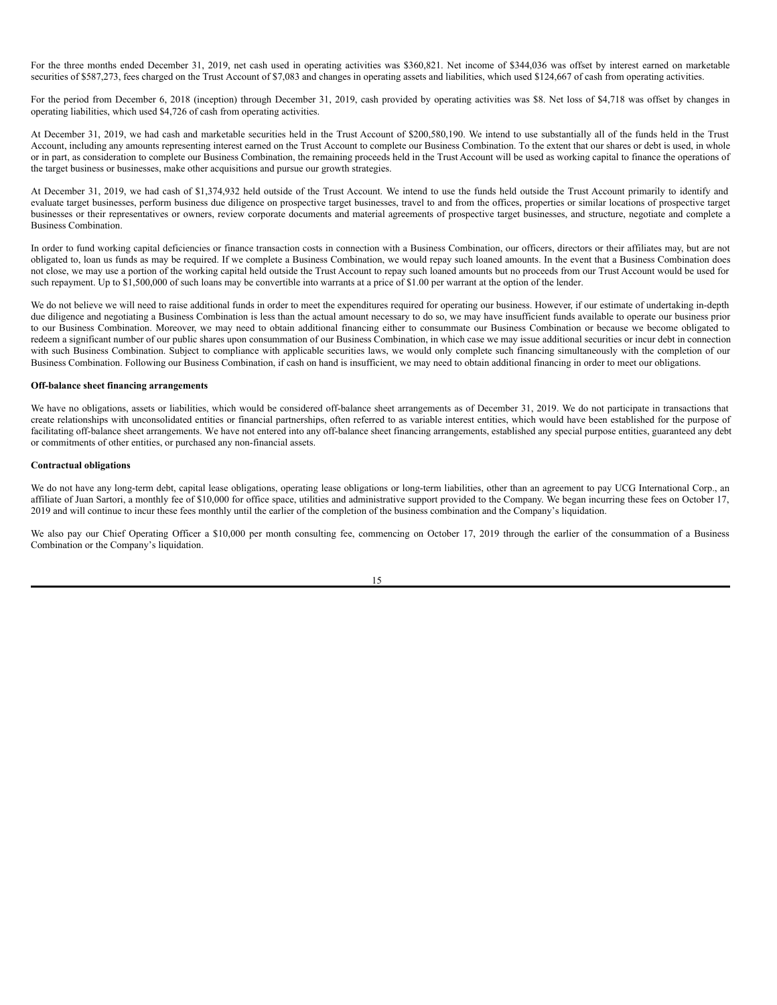For the three months ended December 31, 2019, net cash used in operating activities was \$360,821. Net income of \$344,036 was offset by interest earned on marketable securities of \$587,273, fees charged on the Trust Account of \$7,083 and changes in operating assets and liabilities, which used \$124,667 of cash from operating activities.

For the period from December 6, 2018 (inception) through December 31, 2019, cash provided by operating activities was \$8. Net loss of \$4,718 was offset by changes in operating liabilities, which used \$4,726 of cash from operating activities.

At December 31, 2019, we had cash and marketable securities held in the Trust Account of \$200,580,190. We intend to use substantially all of the funds held in the Trust Account, including any amounts representing interest earned on the Trust Account to complete our Business Combination. To the extent that our shares or debt is used, in whole or in part, as consideration to complete our Business Combination, the remaining proceeds held in the Trust Account will be used as working capital to finance the operations of the target business or businesses, make other acquisitions and pursue our growth strategies.

At December 31, 2019, we had cash of \$1,374,932 held outside of the Trust Account. We intend to use the funds held outside the Trust Account primarily to identify and evaluate target businesses, perform business due diligence on prospective target businesses, travel to and from the offices, properties or similar locations of prospective target businesses or their representatives or owners, review corporate documents and material agreements of prospective target businesses, and structure, negotiate and complete a Business Combination.

In order to fund working capital deficiencies or finance transaction costs in connection with a Business Combination, our officers, directors or their affiliates may, but are not obligated to, loan us funds as may be required. If we complete a Business Combination, we would repay such loaned amounts. In the event that a Business Combination does not close, we may use a portion of the working capital held outside the Trust Account to repay such loaned amounts but no proceeds from our Trust Account would be used for such repayment. Up to \$1,500,000 of such loans may be convertible into warrants at a price of \$1.00 per warrant at the option of the lender.

We do not believe we will need to raise additional funds in order to meet the expenditures required for operating our business. However, if our estimate of undertaking in-depth due diligence and negotiating a Business Combination is less than the actual amount necessary to do so, we may have insufficient funds available to operate our business prior to our Business Combination. Moreover, we may need to obtain additional financing either to consummate our Business Combination or because we become obligated to redeem a significant number of our public shares upon consummation of our Business Combination, in which case we may issue additional securities or incur debt in connection with such Business Combination. Subject to compliance with applicable securities laws, we would only complete such financing simultaneously with the completion of our Business Combination. Following our Business Combination, if cash on hand is insufficient, we may need to obtain additional financing in order to meet our obligations.

### **Off-balance sheet financing arrangements**

We have no obligations, assets or liabilities, which would be considered off-balance sheet arrangements as of December 31, 2019. We do not participate in transactions that create relationships with unconsolidated entities or financial partnerships, often referred to as variable interest entities, which would have been established for the purpose of facilitating off-balance sheet arrangements. We have not entered into any off-balance sheet financing arrangements, established any special purpose entities, guaranteed any debt or commitments of other entities, or purchased any non-financial assets.

# **Contractual obligations**

We do not have any long-term debt, capital lease obligations, operating lease obligations or long-term liabilities, other than an agreement to pay UCG International Corp., an affiliate of Juan Sartori, a monthly fee of \$10,000 for office space, utilities and administrative support provided to the Company. We began incurring these fees on October 17, 2019 and will continue to incur these fees monthly until the earlier of the completion of the business combination and the Company's liquidation.

We also pay our Chief Operating Officer a \$10,000 per month consulting fee, commencing on October 17, 2019 through the earlier of the consummation of a Business Combination or the Company's liquidation.

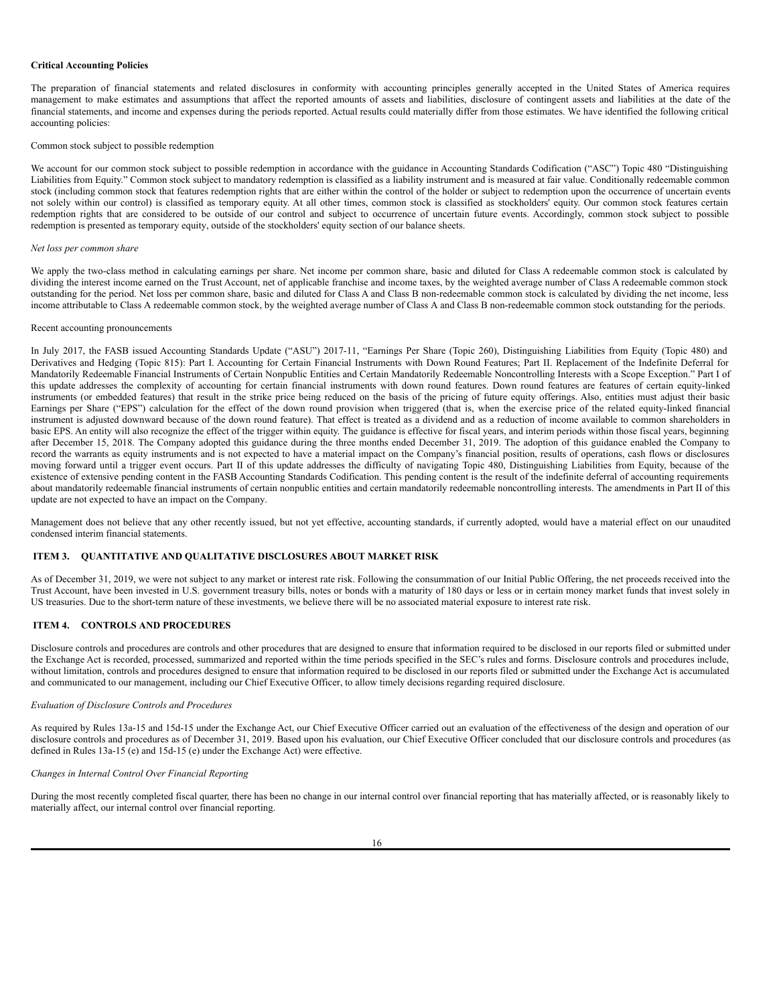#### **Critical Accounting Policies**

The preparation of financial statements and related disclosures in conformity with accounting principles generally accepted in the United States of America requires management to make estimates and assumptions that affect the reported amounts of assets and liabilities, disclosure of contingent assets and liabilities at the date of the financial statements, and income and expenses during the periods reported. Actual results could materially differ from those estimates. We have identified the following critical accounting policies:

#### Common stock subject to possible redemption

We account for our common stock subject to possible redemption in accordance with the guidance in Accounting Standards Codification ("ASC") Topic 480 "Distinguishing Liabilities from Equity." Common stock subject to mandatory redemption is classified as a liability instrument and is measured at fair value. Conditionally redeemable common stock (including common stock that features redemption rights that are either within the control of the holder or subject to redemption upon the occurrence of uncertain events not solely within our control) is classified as temporary equity. At all other times, common stock is classified as stockholders' equity. Our common stock features certain redemption rights that are considered to be outside of our control and subject to occurrence of uncertain future events. Accordingly, common stock subject to possible redemption is presented as temporary equity, outside of the stockholders' equity section of our balance sheets.

#### *Net loss per common share*

We apply the two-class method in calculating earnings per share. Net income per common share, basic and diluted for Class A redeemable common stock is calculated by dividing the interest income earned on the Trust Account, net of applicable franchise and income taxes, by the weighted average number of Class A redeemable common stock outstanding for the period. Net loss per common share, basic and diluted for Class A and Class B non-redeemable common stock is calculated by dividing the net income, less income attributable to Class A redeemable common stock, by the weighted average number of Class A and Class B non-redeemable common stock outstanding for the periods.

# Recent accounting pronouncements

In July 2017, the FASB issued Accounting Standards Update ("ASU") 2017-11, "Earnings Per Share (Topic 260), Distinguishing Liabilities from Equity (Topic 480) and Derivatives and Hedging (Topic 815): Part I. Accounting for Certain Financial Instruments with Down Round Features; Part II. Replacement of the Indefinite Deferral for Mandatorily Redeemable Financial Instruments of Certain Nonpublic Entities and Certain Mandatorily Redeemable Noncontrolling Interests with a Scope Exception." Part I of this update addresses the complexity of accounting for certain financial instruments with down round features. Down round features are features of certain equity-linked instruments (or embedded features) that result in the strike price being reduced on the basis of the pricing of future equity offerings. Also, entities must adjust their basic Earnings per Share ("EPS") calculation for the effect of the down round provision when triggered (that is, when the exercise price of the related equity-linked financial instrument is adjusted downward because of the down round feature). That effect is treated as a dividend and as a reduction of income available to common shareholders in basic EPS. An entity will also recognize the effect of the trigger within equity. The guidance is effective for fiscal years, and interim periods within those fiscal years, beginning after December 15, 2018. The Company adopted this guidance during the three months ended December 31, 2019. The adoption of this guidance enabled the Company to record the warrants as equity instruments and is not expected to have a material impact on the Company's financial position, results of operations, cash flows or disclosures moving forward until a trigger event occurs. Part II of this update addresses the difficulty of navigating Topic 480, Distinguishing Liabilities from Equity, because of the existence of extensive pending content in the FASB Accounting Standards Codification. This pending content is the result of the indefinite deferral of accounting requirements about mandatorily redeemable financial instruments of certain nonpublic entities and certain mandatorily redeemable noncontrolling interests. The amendments in Part II of this update are not expected to have an impact on the Company.

Management does not believe that any other recently issued, but not yet effective, accounting standards, if currently adopted, would have a material effect on our unaudited condensed interim financial statements.

### <span id="page-17-0"></span>**ITEM 3. QUANTITATIVE AND QUALITATIVE DISCLOSURES ABOUT MARKET RISK**

As of December 31, 2019, we were not subject to any market or interest rate risk. Following the consummation of our Initial Public Offering, the net proceeds received into the Trust Account, have been invested in U.S. government treasury bills, notes or bonds with a maturity of 180 days or less or in certain money market funds that invest solely in US treasuries. Due to the short-term nature of these investments, we believe there will be no associated material exposure to interest rate risk.

#### <span id="page-17-1"></span>**ITEM 4. CONTROLS AND PROCEDURES**

Disclosure controls and procedures are controls and other procedures that are designed to ensure that information required to be disclosed in our reports filed or submitted under the Exchange Act is recorded, processed, summarized and reported within the time periods specified in the SEC's rules and forms. Disclosure controls and procedures include, without limitation, controls and procedures designed to ensure that information required to be disclosed in our reports filed or submitted under the Exchange Act is accumulated and communicated to our management, including our Chief Executive Officer, to allow timely decisions regarding required disclosure.

## *Evaluation of Disclosure Controls and Procedures*

As required by Rules 13a-15 and 15d-15 under the Exchange Act, our Chief Executive Officer carried out an evaluation of the effectiveness of the design and operation of our disclosure controls and procedures as of December 31, 2019. Based upon his evaluation, our Chief Executive Officer concluded that our disclosure controls and procedures (as defined in Rules 13a-15 (e) and 15d-15 (e) under the Exchange Act) were effective.

# *Changes in Internal Control Over Financial Reporting*

During the most recently completed fiscal quarter, there has been no change in our internal control over financial reporting that has materially affected, or is reasonably likely to materially affect, our internal control over financial reporting.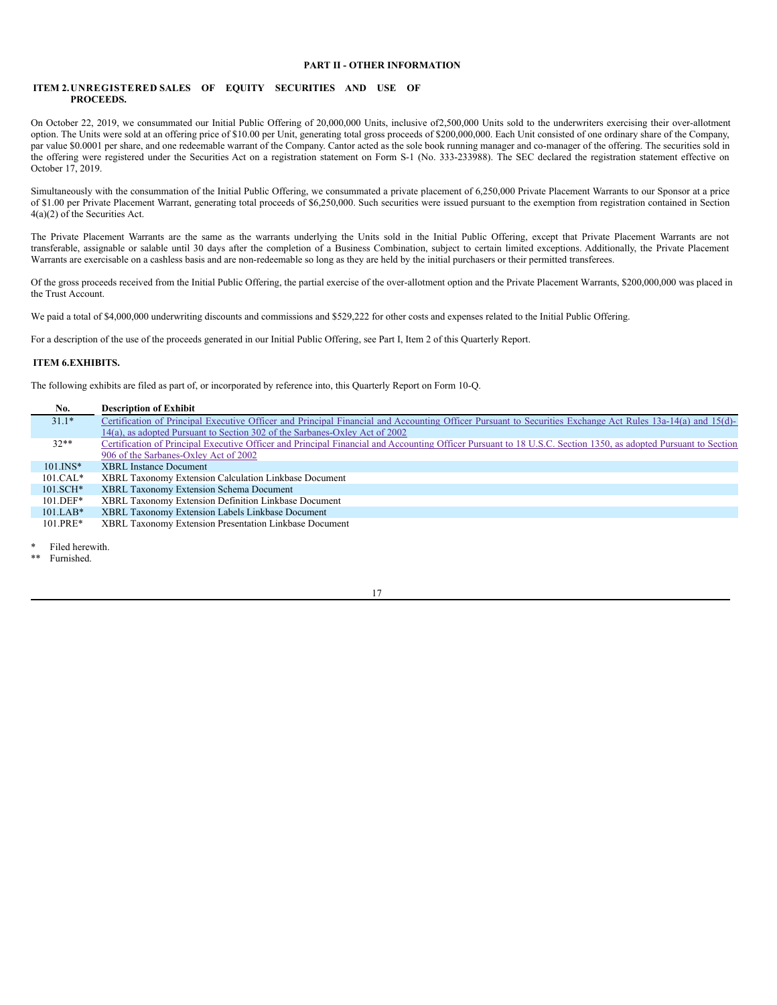# <span id="page-18-0"></span>**PART II - OTHER INFORMATION**

## <span id="page-18-1"></span>**ITEM 2.UNREGISTERED SALES OF EQUITY SECURITIES AND USE OF PROCEEDS.**

On October 22, 2019, we consummated our Initial Public Offering of 20,000,000 Units, inclusive of2,500,000 Units sold to the underwriters exercising their over-allotment option. The Units were sold at an offering price of \$10.00 per Unit, generating total gross proceeds of \$200,000,000. Each Unit consisted of one ordinary share of the Company, par value \$0.0001 per share, and one redeemable warrant of the Company. Cantor acted as the sole book running manager and co-manager of the offering. The securities sold in the offering were registered under the Securities Act on a registration statement on Form S-1 (No. 333-233988). The SEC declared the registration statement effective on October 17, 2019.

Simultaneously with the consummation of the Initial Public Offering, we consummated a private placement of 6,250,000 Private Placement Warrants to our Sponsor at a price of \$1.00 per Private Placement Warrant, generating total proceeds of \$6,250,000. Such securities were issued pursuant to the exemption from registration contained in Section 4(a)(2) of the Securities Act.

The Private Placement Warrants are the same as the warrants underlying the Units sold in the Initial Public Offering, except that Private Placement Warrants are not transferable, assignable or salable until 30 days after the completion of a Business Combination, subject to certain limited exceptions. Additionally, the Private Placement Warrants are exercisable on a cashless basis and are non-redeemable so long as they are held by the initial purchasers or their permitted transferees.

Of the gross proceeds received from the Initial Public Offering, the partial exercise of the over-allotment option and the Private Placement Warrants, \$200,000,000 was placed in the Trust Account.

We paid a total of \$4,000,000 underwriting discounts and commissions and \$529,222 for other costs and expenses related to the Initial Public Offering.

For a description of the use of the proceeds generated in our Initial Public Offering, see Part I, Item 2 of this Quarterly Report.

# <span id="page-18-2"></span>**ITEM 6.EXHIBITS.**

The following exhibits are filed as part of, or incorporated by reference into, this Quarterly Report on Form 10-Q.

| No.         | <b>Description of Exhibit</b>                                                                                                                                  |
|-------------|----------------------------------------------------------------------------------------------------------------------------------------------------------------|
| $31.1*$     | Certification of Principal Executive Officer and Principal Financial and Accounting Officer Pursuant to Securities Exchange Act Rules 13a-14(a) and 15(d)-     |
|             | 14(a), as adopted Pursuant to Section 302 of the Sarbanes-Oxley Act of 2002                                                                                    |
| $32**$      | Certification of Principal Executive Officer and Principal Financial and Accounting Officer Pursuant to 18 U.S.C. Section 1350, as adopted Pursuant to Section |
|             | 906 of the Sarbanes-Oxley Act of 2002                                                                                                                          |
| $101.$ INS* | <b>XBRL</b> Instance Document                                                                                                                                  |
| $101.CAL*$  | XBRL Taxonomy Extension Calculation Linkbase Document                                                                                                          |
| $101.SCH*$  | XBRL Taxonomy Extension Schema Document                                                                                                                        |
| $101.DEF*$  | XBRL Taxonomy Extension Definition Linkbase Document                                                                                                           |
| $101.LAB*$  | XBRL Taxonomy Extension Labels Linkbase Document                                                                                                               |
| $101.PRE*$  | XBRL Taxonomy Extension Presentation Linkbase Document                                                                                                         |
|             |                                                                                                                                                                |

Filed herewith.

Furnished.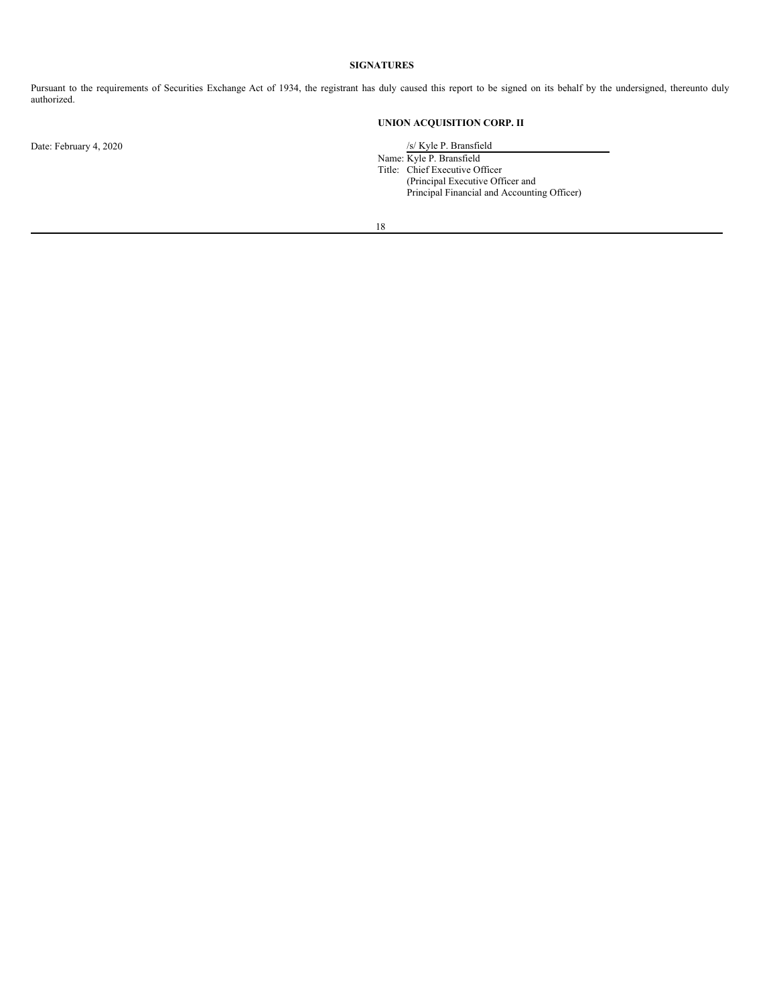# <span id="page-19-0"></span>**SIGNATURES**

Pursuant to the requirements of Securities Exchange Act of 1934, the registrant has duly caused this report to be signed on its behalf by the undersigned, thereunto duly authorized.

**UNION ACQUISITION CORP. II**

Name: Kyle P. Bransfield Title: Chief Executive Officer (Principal Executive Officer and Principal Financial and Accounting Officer)

18

Date: February 4, 2020 /s/ Kyle P. Bransfield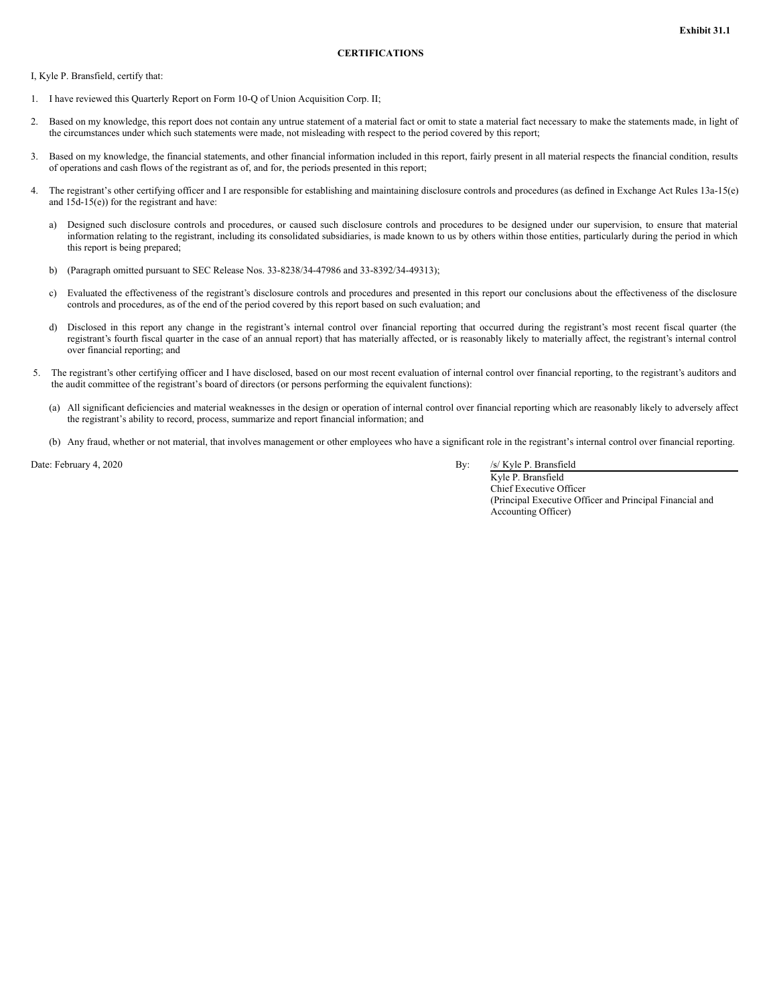<span id="page-20-0"></span>I, Kyle P. Bransfield, certify that:

- 1. I have reviewed this Quarterly Report on Form 10-Q of Union Acquisition Corp. II;
- 2. Based on my knowledge, this report does not contain any untrue statement of a material fact or omit to state a material fact necessary to make the statements made, in light of the circumstances under which such statements were made, not misleading with respect to the period covered by this report;
- 3. Based on my knowledge, the financial statements, and other financial information included in this report, fairly present in all material respects the financial condition, results of operations and cash flows of the registrant as of, and for, the periods presented in this report;
- 4. The registrant's other certifying officer and I are responsible for establishing and maintaining disclosure controls and procedures (as defined in Exchange Act Rules 13a-15(e) and 15d-15(e)) for the registrant and have:
	- a) Designed such disclosure controls and procedures, or caused such disclosure controls and procedures to be designed under our supervision, to ensure that material information relating to the registrant, including its consolidated subsidiaries, is made known to us by others within those entities, particularly during the period in which this report is being prepared;
	- b) (Paragraph omitted pursuant to SEC Release Nos. 33-8238/34-47986 and 33-8392/34-49313);
	- c) Evaluated the effectiveness of the registrant's disclosure controls and procedures and presented in this report our conclusions about the effectiveness of the disclosure controls and procedures, as of the end of the period covered by this report based on such evaluation; and
	- d) Disclosed in this report any change in the registrant's internal control over financial reporting that occurred during the registrant's most recent fiscal quarter (the registrant's fourth fiscal quarter in the case of an annual report) that has materially affected, or is reasonably likely to materially affect, the registrant's internal control over financial reporting; and
- 5. The registrant's other certifying officer and I have disclosed, based on our most recent evaluation of internal control over financial reporting, to the registrant's auditors and the audit committee of the registrant's board of directors (or persons performing the equivalent functions):
	- (a) All significant deficiencies and material weaknesses in the design or operation of internal control over financial reporting which are reasonably likely to adversely affect the registrant's ability to record, process, summarize and report financial information; and
	- (b) Any fraud, whether or not material, that involves management or other employees who have a significant role in the registrant's internal control over financial reporting.

Date: February 4, 2020 By: /s/ Kyle P. Bransfield

Kyle P. Bransfield Chief Executive Officer (Principal Executive Officer and Principal Financial and Accounting Officer)